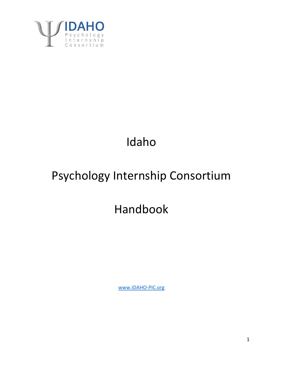

# Idaho

# Psychology Internship Consortium

Handbook

[www.IDAHO-PIC.org](http://www.idaho-pic.org/)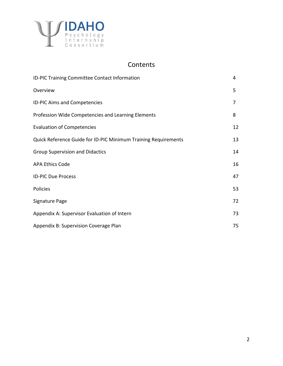

# **Contents**

| ID-PIC Training Committee Contact Information                  | 4  |
|----------------------------------------------------------------|----|
| Overview                                                       | 5  |
| ID-PIC Aims and Competencies                                   | 7  |
| Profession Wide Competencies and Learning Elements             | 8  |
| <b>Evaluation of Competencies</b>                              | 12 |
| Quick Reference Guide for ID-PIC Minimum Training Requirements | 13 |
| <b>Group Supervision and Didactics</b>                         | 14 |
| <b>APA Ethics Code</b>                                         | 16 |
| <b>ID-PIC Due Process</b>                                      | 47 |
| Policies                                                       | 53 |
| Signature Page                                                 | 72 |
| Appendix A: Supervisor Evaluation of Intern                    | 73 |
| Appendix B: Supervision Coverage Plan                          | 75 |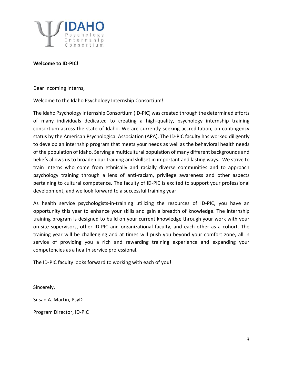

#### **Welcome to ID-PIC!**

Dear Incoming Interns,

Welcome to the Idaho Psychology Internship Consortium!

The Idaho Psychology Internship Consortium (ID-PIC) was created through the determined efforts of many individuals dedicated to creating a high-quality, psychology internship training consortium across the state of Idaho. We are currently seeking accreditation, on contingency status by the American Psychological Association (APA). The ID-PIC faculty has worked diligently to develop an internship program that meets your needs as well as the behavioral health needs of the population of Idaho. Serving a multicultural population of many different backgrounds and beliefs allows us to broaden our training and skillset in important and lasting ways. We strive to train interns who come from ethnically and racially diverse communities and to approach psychology training through a lens of anti-racism, privilege awareness and other aspects pertaining to cultural competence. The faculty of ID-PIC is excited to support your professional development, and we look forward to a successful training year.

As health service psychologists-in-training utilizing the resources of ID-PIC, you have an opportunity this year to enhance your skills and gain a breadth of knowledge. The internship training program is designed to build on your current knowledge through your work with your on-site supervisors, other ID-PIC and organizational faculty, and each other as a cohort. The training year will be challenging and at times will push you beyond your comfort zone, all in service of providing you a rich and rewarding training experience and expanding your competencies as a health service professional.

The ID-PIC faculty looks forward to working with each of you!

Sincerely,

Susan A. Martin, PsyD

Program Director, ID-PIC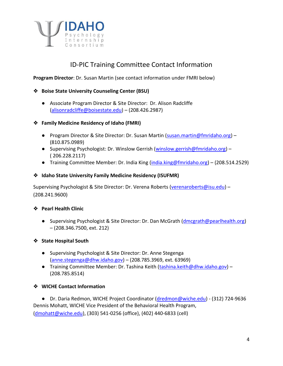

# ID-PIC Training Committee Contact Information

**Program Director**: Dr. Susan Martin (see contact information under FMRI below)

#### ❖ **Boise State University Counseling Center (BSU)**

● Associate Program Director & Site Director: Dr. Alison Radcliffe (alisonradcliffe@boisestate.edu) – (208.426.2987)

#### ❖ **Family Medicine Residency of Idaho (FMRI)**

- Program Director & Site Director: Dr. Susan Martin (susan.martin@fmridaho.org) (810.875.0989)
- Supervising Psychologist: Dr. Winslow Gerrish [\(winslow.gerrish@fmridaho.org\)](mailto:winslow.gerrish@fmridaho.org) -( 206.228.2117)
- Training Committee Member: Dr. India King [\(india.king@fmridaho.org\)](mailto:india.king@fmridaho.org) (208.514.2529)

#### ❖ **Idaho State University Family Medicine Residency (ISUFMR)**

Supervising Psychologist & Site Director: Dr. Verena Roberts [\(verenaroberts@isu.edu\)](mailto:verenaroberts@isu.edu) – (208.241.9600)

#### ❖ **Pearl Health Clinic**

● Supervising Psychologist & Site Director: Dr. Dan McGrath (dmcgrath@pearlhealth.org) – (208.346.7500, ext. 212)

#### ❖ **State Hospital South**

- Supervising Psychologist & Site Director: Dr. Anne Stegenga (anne.stegenga@dhw.idaho.gov) – (208.785.3969, ext. 63969)
- Training Committee Member: Dr. Tashina Keith (tashina.keith@dhw.idaho.gov) -(208.785.8514)

#### ❖ **WICHE Contact Information**

● Dr. Daria Redmon, WICHE Project Coordinator [\(dredmon@wiche.edu\)](mailto:dredmon@wiche.edu) - (312) 724-9636 Dennis Mohatt, WICHE Vice President of the Behavioral Health Program, [\(dmohatt@wiche.edu\)](mailto:dmohatt@wiche.edu), (303) 541-0256 (office), (402) 440-6833 (cell)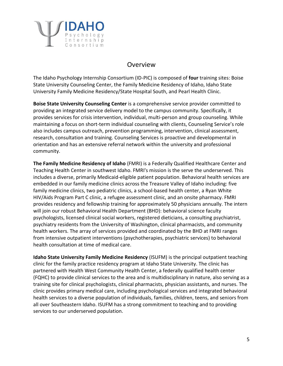

## Overview

The Idaho Psychology Internship Consortium (ID-PIC) is composed of **four** training sites: Boise State University Counseling Center, the Family Medicine Residency of Idaho, Idaho State University Family Medicine Residency/State Hospital South, and Pearl Health Clinic.

**Boise State University Counseling Center** is a comprehensive service provider committed to providing an integrated service delivery model to the campus community. Specifically, it provides services for crisis intervention, individual, multi-person and group counseling. While maintaining a focus on short-term individual counseling with clients, Counseling Service's role also includes campus outreach, prevention programming, intervention, clinical assessment, research, consultation and training. Counseling Services is proactive and developmental in orientation and has an extensive referral network within the university and professional community.

**The Family Medicine Residency of Idaho** (FMRI) is a Federally Qualified Healthcare Center and Teaching Health Center in southwest Idaho. FMRI's mission is the serve the underserved. This includes a diverse, primarily Medicaid-eligible patient population. Behavioral health services are embedded in our family medicine clinics across the Treasure Valley of Idaho including: five family medicine clinics, two pediatric clinics, a school-based health center, a Ryan White HIV/Aids Program Part C clinic, a refugee assessment clinic, and an onsite pharmacy. FMRI provides residency and fellowship training for approximately 50 physicians annually. The intern will join our robust Behavioral Health Department (BHD): behavioral science faculty psychologists, licensed clinical social workers, registered dieticians, a consulting psychiatrist, psychiatry residents from the University of Washington, clinical pharmacists, and community health workers. The array of services provided and coordinated by the BHD at FMRI ranges from intensive outpatient interventions (psychotherapies, psychiatric services) to behavioral health consultation at time of medical care.

**Idaho State University Family Medicine Residency** (ISUFM) is the principal outpatient teaching clinic for the family practice residency program at Idaho State University. The clinic has partnered with Health West Community Health Center, a federally qualified health center (FQHC) to provide clinical services to the area and is multidisciplinary in nature, also serving as a training site for clinical psychologists, clinical pharmacists, physician assistants, and nurses. The clinic provides primary medical care, including psychological services and integrated behavioral health services to a diverse population of individuals, families, children, teens, and seniors from all over Southeastern Idaho. ISUFM has a strong commitment to teaching and to providing services to our underserved population.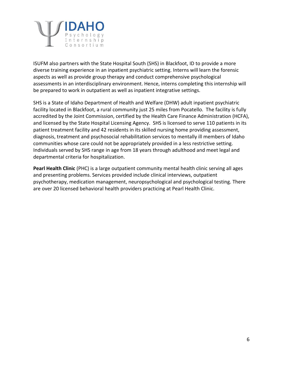

ISUFM also partners with the State Hospital South (SHS) in Blackfoot, ID to provide a more diverse training experience in an inpatient psychiatric setting. Interns will learn the forensic aspects as well as provide group therapy and conduct comprehensive psychological assessments in an interdisciplinary environment. Hence, interns completing this internship will be prepared to work in outpatient as well as inpatient integrative settings.

SHS is a State of Idaho Department of Health and Welfare (DHW) adult inpatient psychiatric facility located in Blackfoot, a rural community just 25 miles from Pocatello. The facility is fully accredited by the Joint Commission, certified by the Health Care Finance Administration (HCFA), and licensed by the State Hospital Licensing Agency. SHS is licensed to serve 110 patients in its patient treatment facility and 42 residents in its skilled nursing home providing assessment, diagnosis, treatment and psychosocial rehabilitation services to mentally ill members of Idaho communities whose care could not be appropriately provided in a less restrictive setting. Individuals served by SHS range in age from 18 years through adulthood and meet legal and departmental criteria for hospitalization.

**Pearl Health Clinic** (PHC) is a large outpatient community mental health clinic serving all ages and presenting problems. Services provided include clinical interviews, outpatient psychotherapy, medication management, neuropsychological and psychological testing. There are over 20 licensed behavioral health providers practicing at Pearl Health Clinic.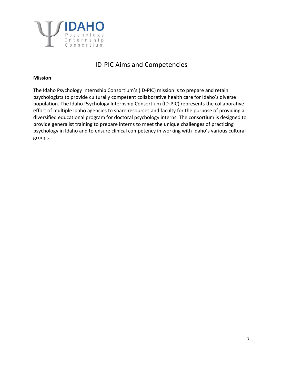

## ID-PIC Aims and Competencies

#### **Mission**

The Idaho Psychology Internship Consortium's (ID-PIC) mission is to prepare and retain psychologists to provide culturally competent collaborative health care for Idaho's diverse population. The Idaho Psychology Internship Consortium (ID-PIC) represents the collaborative effort of multiple Idaho agencies to share resources and faculty for the purpose of providing a diversified educational program for doctoral psychology interns. The consortium is designed to provide generalist training to prepare interns to meet the unique challenges of practicing psychology in Idaho and to ensure clinical competency in working with Idaho's various cultural groups.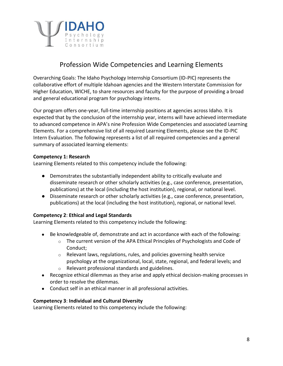

# Profession Wide Competencies and Learning Elements

Overarching Goals: The Idaho Psychology Internship Consortium (ID-PIC) represents the collaborative effort of multiple Idahoan agencies and the Western Interstate Commission for Higher Education, WICHE, to share resources and faculty for the purpose of providing a broad and general educational program for psychology interns.

Our program offers one-year, full-time internship positions at agencies across Idaho. It is expected that by the conclusion of the internship year, interns will have achieved intermediate to advanced competence in APA's nine Profession Wide Competencies and associated Learning Elements. For a comprehensive list of all required Learning Elements, please see the ID-PIC Intern Evaluation. The following represents a list of all required competencies and a general summary of associated learning elements:

#### **Competency 1: Research**

Learning Elements related to this competency include the following:

- Demonstrates the substantially independent ability to critically evaluate and disseminate research or other scholarly activities (e.g., case conference, presentation, publications) at the local (including the host institution), regional, or national level.
- Disseminate research or other scholarly activities (e.g., case conference, presentation, publications) at the local (including the host institution), regional, or national level.

#### **Competency 2**: **Ethical and Legal Standards**

Learning Elements related to this competency include the following:

- Be knowledgeable of, demonstrate and act in accordance with each of the following:
	- o The current version of the APA Ethical Principles of Psychologists and Code of Conduct;
	- $\circ$  Relevant laws, regulations, rules, and policies governing health service psychology at the organizational, local, state, regional, and federal levels; and
	- o Relevant professional standards and guidelines.
- Recognize ethical dilemmas as they arise and apply ethical decision-making processes in order to resolve the dilemmas.
- Conduct self in an ethical manner in all professional activities.

#### **Competency 3**: **Individual and Cultural Diversity**

Learning Elements related to this competency include the following: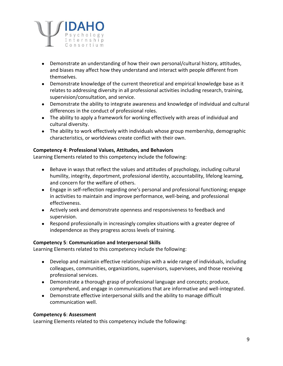

- Demonstrate an understanding of how their own personal/cultural history, attitudes, and biases may affect how they understand and interact with people different from themselves.
- Demonstrate knowledge of the current theoretical and empirical knowledge base as it relates to addressing diversity in all professional activities including research, training, supervision/consultation, and service.
- Demonstrate the ability to integrate awareness and knowledge of individual and cultural differences in the conduct of professional roles.
- The ability to apply a framework for working effectively with areas of individual and cultural diversity.
- The ability to work effectively with individuals whose group membership, demographic characteristics, or worldviews create conflict with their own.

#### **Competency 4**: **Professional Values, Attitudes, and Behaviors**

Learning Elements related to this competency include the following:

- Behave in ways that reflect the values and attitudes of psychology, including cultural humility, integrity, deportment, professional identity, accountability, lifelong learning, and concern for the welfare of others.
- Engage in self-reflection regarding one's personal and professional functioning; engage in activities to maintain and improve performance, well-being, and professional effectiveness.
- Actively seek and demonstrate openness and responsiveness to feedback and supervision.
- Respond professionally in increasingly complex situations with a greater degree of independence as they progress across levels of training.

#### **Competency 5**: **Communication and Interpersonal Skills**

Learning Elements related to this competency include the following:

- Develop and maintain effective relationships with a wide range of individuals, including colleagues, communities, organizations, supervisors, supervisees, and those receiving professional services.
- Demonstrate a thorough grasp of professional language and concepts; produce, comprehend, and engage in communications that are informative and well-integrated.
- Demonstrate effective interpersonal skills and the ability to manage difficult communication well.

#### **Competency 6**: **Assessment**

Learning Elements related to this competency include the following: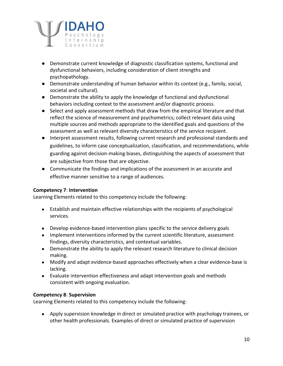

- Demonstrate current knowledge of diagnostic classification systems, functional and dysfunctional behaviors, including consideration of client strengths and psychopathology.
- Demonstrate understanding of human behavior within its context (e.g., family, social, societal and cultural).
- Demonstrate the ability to apply the knowledge of functional and dysfunctional behaviors including context to the assessment and/or diagnostic process.
- Select and apply assessment methods that draw from the empirical literature and that reflect the science of measurement and psychometrics; collect relevant data using multiple sources and methods appropriate to the identified goals and questions of the assessment as well as relevant diversity characteristics of the service recipient.
- Interpret assessment results, following current research and professional standards and guidelines, to inform case conceptualization, classification, and recommendations, while guarding against decision-making biases, distinguishing the aspects of assessment that are subjective from those that are objective.
- Communicate the findings and implications of the assessment in an accurate and effective manner sensitive to a range of audiences.

#### **Competency 7**: **Intervention**

Learning Elements related to this competency include the following:

- Establish and maintain effective relationships with the recipients of psychological services.
- Develop evidence-based intervention plans specific to the service delivery goals
- Implement interventions informed by the current scientific literature, assessment findings, diversity characteristics, and contextual variables.
- Demonstrate the ability to apply the relevant research literature to clinical decision making.
- Modify and adapt evidence-based approaches effectively when a clear evidence-base is lacking.
- Evaluate intervention effectiveness and adapt intervention goals and methods consistent with ongoing evaluation.

#### **Competency 8**: **Supervision**

Learning Elements related to this competency include the following:

● Apply supervision knowledge in direct or simulated practice with psychology trainees, or other health professionals. Examples of direct or simulated practice of supervision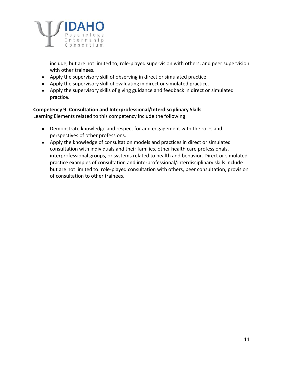

include, but are not limited to, role-played supervision with others, and peer supervision with other trainees.

- Apply the supervisory skill of observing in direct or simulated practice.
- Apply the supervisory skill of evaluating in direct or simulated practice.
- Apply the supervisory skills of giving guidance and feedback in direct or simulated practice.

#### **Competency 9**: **Consultation and Interprofessional/Interdisciplinary Skills**

Learning Elements related to this competency include the following:

- Demonstrate knowledge and respect for and engagement with the roles and perspectives of other professions.
- Apply the knowledge of consultation models and practices in direct or simulated consultation with individuals and their families, other health care professionals, interprofessional groups, or systems related to health and behavior. Direct or simulated practice examples of consultation and interprofessional/interdisciplinary skills include but are not limited to: role-played consultation with others, peer consultation, provision of consultation to other trainees.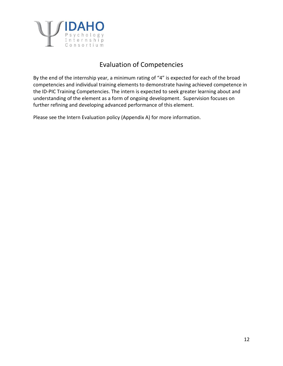

# Evaluation of Competencies

By the end of the internship year, a minimum rating of "4" is expected for each of the broad competencies and individual training elements to demonstrate having achieved competence in the ID-PIC Training Competencies. The intern is expected to seek greater learning about and understanding of the element as a form of ongoing development. Supervision focuses on further refining and developing advanced performance of this element.

Please see the Intern Evaluation policy (Appendix A) for more information.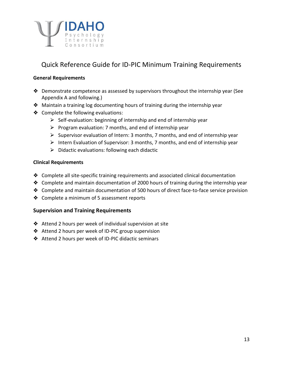

# Quick Reference Guide for ID-PIC Minimum Training Requirements

#### **General Requirements**

- ❖ Demonstrate competence as assessed by supervisors throughout the internship year (See Appendix A and following.)
- ❖ Maintain a training log documenting hours of training during the internship year
- ❖ Complete the following evaluations:
	- $\triangleright$  Self-evaluation: beginning of internship and end of internship year
	- $\triangleright$  Program evaluation: 7 months, and end of internship year
	- $\triangleright$  Supervisor evaluation of Intern: 3 months, 7 months, and end of internship year
	- $\triangleright$  Intern Evaluation of Supervisor: 3 months, 7 months, and end of internship year
	- $\triangleright$  Didactic evaluations: following each didactic

#### **Clinical Requirements**

- ❖ Complete all site-specific training requirements and associated clinical documentation
- ❖ Complete and maintain documentation of 2000 hours of training during the internship year
- ❖ Complete and maintain documentation of 500 hours of direct face-to-face service provision
- ❖ Complete a minimum of 5 assessment reports

### **Supervision and Training Requirements**

- ❖ Attend 2 hours per week of individual supervision at site
- ❖ Attend 2 hours per week of ID-PIC group supervision
- ❖ Attend 2 hours per week of ID-PIC didactic seminars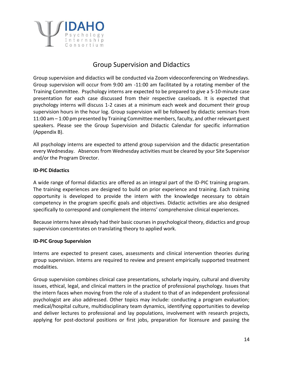

# Group Supervision and Didactics

Group supervision and didactics will be conducted via Zoom videoconferencing on Wednesdays. Group supervision will occur from 9:00 am -11:00 am facilitated by a rotating member of the Training Committee. Psychology interns are expected to be prepared to give a 5-10-minute case presentation for each case discussed from their respective caseloads. It is expected that psychology interns will discuss 1-2 cases at a minimum each week and document their group supervision hours in the hour log. Group supervision will be followed by didactic seminars from 11:00 am – 1:00 pm presented by Training Committee members, faculty, and other relevant guest speakers. Please see the Group Supervision and Didactic Calendar for specific information (Appendix B).

All psychology interns are expected to attend group supervision and the didactic presentation every Wednesday. Absences from Wednesday activities must be cleared by your Site Supervisor and/or the Program Director.

#### **ID-PIC Didactics**

A wide range of formal didactics are offered as an integral part of the ID-PIC training program. The training experiences are designed to build on prior experience and training. Each training opportunity is developed to provide the intern with the knowledge necessary to obtain competency in the program specific goals and objectives. Didactic activities are also designed specifically to correspond and complement the interns' comprehensive clinical experiences.

Because interns have already had their basic courses in psychological theory, didactics and group supervision concentrates on translating theory to applied work.

#### **ID-PIC Group Supervision**

Interns are expected to present cases, assessments and clinical intervention theories during group supervision. Interns are required to review and present empirically supported treatment modalities.

Group supervision combines clinical case presentations, scholarly inquiry, cultural and diversity issues, ethical, legal, and clinical matters in the practice of professional psychology. Issues that the intern faces when moving from the role of a student to that of an independent professional psychologist are also addressed. Other topics may include: conducting a program evaluation; medical/hospital culture, multidisciplinary team dynamics, identifying opportunities to develop and deliver lectures to professional and lay populations, involvement with research projects, applying for post-doctoral positions or first jobs, preparation for licensure and passing the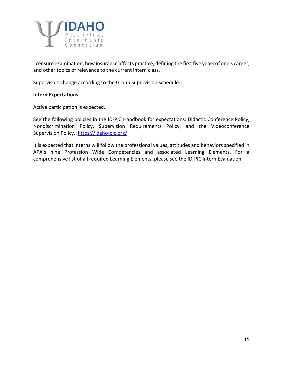

licensure examination, how insurance affects practice, defining the first five years of one's career, and other topics of relevance to the current intern class.

Supervisors change according to the Group Supervision schedule.

#### **Intern Expectations**

Active participation is expected.

See the following policies in the ID-PIC Handbook for expectations: Didactic Conference Policy, Nondiscrimination Policy, Supervision Requirements Policy, and the Videoconference Supervision Policy. <https://idaho-pic.org/>

It is expected that interns will follow the professional values, attitudes and behaviors specified in APA's nine Profession Wide Competencies and associated Learning Elements. For a comprehensive list of all required Learning Elements, please see the ID-PIC Intern Evaluation.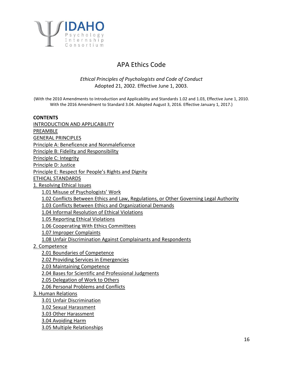

# APA Ethics Code

*Ethical Principles of Psychologists and Code of Conduct* Adopted 21, 2002. Effective June 1, 2003.

(With the 2010 Amendments to Introduction and Applicability and Standards 1.02 and 1.03, Effective June 1, 2010. With the 2016 Amendment to Standard 3.04. Adopted August 3, 2016. Effective January 1, 2017.)

#### **CONTENTS**

INTRODUCTION AND APPLICABILITY

PREAMBLE

GENERAL PRINCIPLES

Principle A: Beneficence and Nonmaleficence

Principle B: Fidelity and Responsibility

Principle C: Integrity

Principle D: Justice

Principle E: Respect for People's Rights and Dignity

ETHICAL STANDARDS

1. Resolving Ethical Issues

1.01 Misuse of Psychologists' Work

1.02 Conflicts Between Ethics and Law, Regulations, or Other Governing Legal Authority

1.03 Conflicts Between Ethics and Organizational Demands

1.04 Informal Resolution of Ethical Violations

1.05 Reporting Ethical Violations

1.06 Cooperating With Ethics Committees

1.07 Improper Complaints

1.08 Unfair Discrimination Against Complainants and Respondents

2. Competence

2.01 Boundaries of Competence

2.02 Providing Services in Emergencies

2.03 Maintaining Competence

2.04 Bases for Scientific and Professional Judgments

2.05 Delegation of Work to Others

2.06 Personal Problems and Conflicts

3. Human Relations

3.01 Unfair Discrimination

3.02 Sexual Harassment

3.03 Other Harassment

3.04 Avoiding Harm

3.05 Multiple Relationships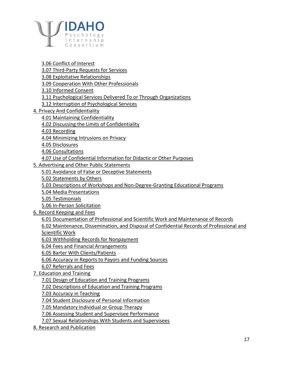

3.06 Conflict of Interest

3.07 Third-Party Requests for Services

3.08 Exploitative Relationships

3.09 Cooperation With Other Professionals

3.10 Informed Consent

3.11 Psychological Services Delivered To or Through Organizations

3.12 Interruption of Psychological Services

4. Privacy And Confidentiality

4.01 Maintaining Confidentiality

4.02 Discussing the Limits of Confidentiality

4.03 Recording

4.04 Minimizing Intrusions on Privacy

4.05 Disclosures

4.06 Consultations

4.07 Use of Confidential Information for Didactic or Other Purposes

5. Advertising and Other Public Statements

5.01 Avoidance of False or Deceptive Statements

5.02 Statements by Others

5.03 Descriptions of Workshops and Non-Degree-Granting Educational Programs

5.04 Media Presentations

5.05 Testimonials

5.06 In-Person Solicitation

6. Record Keeping and Fees

6.01 Documentation of Professional and Scientific Work and Maintenance of Records

6.02 Maintenance, Dissemination, and Disposal of Confidential Records of Professional and Scientific Work

6.03 Withholding Records for Nonpayment

6.04 Fees and Financial Arrangements

6.05 Barter With Clients/Patients

6.06 Accuracy in Reports to Payors and Funding Sources

6.07 Referrals and Fees

#### 7. Education and Training

7.01 Design of Education and Training Programs

7.02 Descriptions of Education and Training Programs

7.03 Accuracy in Teaching

7.04 Student Disclosure of Personal Information

7.05 Mandatory Individual or Group Therapy

7.06 Assessing Student and Supervisee Performance

7.07 Sexual Relationships With Students and Supervisees

8. Research and Publication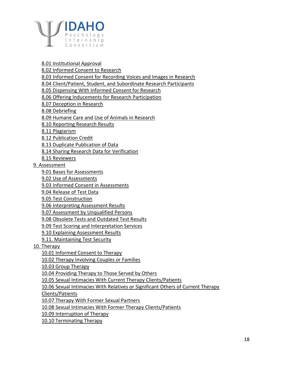

### 8.01 Institutional Approval

8.02 Informed Consent to Research

8.03 Informed Consent for Recording Voices and Images in Research

8.04 Client/Patient, Student, and Subordinate Research Participants

8.05 Dispensing With Informed Consent for Research

8.06 Offering Inducements for Research Participation

8.07 Deception in Research

8.08 Debriefing

8.09 Humane Care and Use of Animals in Research

8.10 Reporting Research Results

8.11 Plagiarism

8.12 Publication Credit

8.13 Duplicate Publication of Data

8.14 Sharing Research Data for Verification

8.15 Reviewers

9. Assessment

9.01 Bases for Assessments

9.02 Use of Assessments

9.03 Informed Consent in Assessments

9.04 Release of Test Data

9.05 Test Construction

9.06 Interpreting Assessment Results

9.07 Assessment by Unqualified Persons

9.08 Obsolete Tests and Outdated Test Results

9.09 Test Scoring and Interpretation Services

9.10 Explaining Assessment Results

9.11. Maintaining Test Security

10. Therapy

10.01 Informed Consent to Therapy

10.02 Therapy Involving Couples or Families

10.03 Group Therapy

10.04 Providing Therapy to Those Served by Others

10.05 Sexual Intimacies With Current Therapy Clients/Patients

10.06 Sexual Intimacies With Relatives or Significant Others of Current Therapy

Clients/Patients

10.07 Therapy With Former Sexual Partners

10.08 Sexual Intimacies With Former Therapy Clients/Patients

10.09 Interruption of Therapy

10.10 Terminating Therapy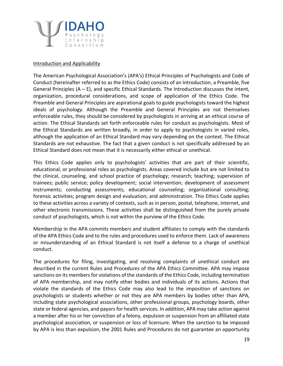#### Introduction and Applicability

The American Psychological Association's (APA's) Ethical Principles of Psychologists and Code of Conduct (hereinafter referred to as the Ethics Code) consists of an Introduction, a Preamble, five General Principles  $(A - E)$ , and specific Ethical Standards. The Introduction discusses the intent, organization, procedural considerations, and scope of application of the Ethics Code. The Preamble and General Principles are aspirational goals to guide psychologists toward the highest ideals of psychology. Although the Preamble and General Principles are not themselves enforceable rules, they should be considered by psychologists in arriving at an ethical course of action. The Ethical Standards set forth enforceable rules for conduct as psychologists. Most of the Ethical Standards are written broadly, in order to apply to psychologists in varied roles, although the application of an Ethical Standard may vary depending on the context. The Ethical Standards are not exhaustive. The fact that a given conduct is not specifically addressed by an Ethical Standard does not mean that it is necessarily either ethical or unethical.

This Ethics Code applies only to psychologists' activities that are part of their scientific, educational, or professional roles as psychologists. Areas covered include but are not limited to the clinical, counseling, and school practice of psychology; research; teaching; supervision of trainees; public service; policy development; social intervention; development of assessment instruments; conducting assessments; educational counseling; organizational consulting; forensic activities; program design and evaluation; and administration. This Ethics Code applies to these activities across a variety of contexts, such as in person, postal, telephone, internet, and other electronic transmissions. These activities shall be distinguished from the purely private conduct of psychologists, which is not within the purview of the Ethics Code.

Membership in the APA commits members and student affiliates to comply with the standards of the APA Ethics Code and to the rules and procedures used to enforce them. Lack of awareness or misunderstanding of an Ethical Standard is not itself a defense to a charge of unethical conduct.

The procedures for filing, investigating, and resolving complaints of unethical conduct are described in the current Rules and Procedures of the APA Ethics Committee. APA may impose sanctions on its members for violations of the standards of the Ethics Code, including termination of APA membership, and may notify other bodies and individuals of its actions. Actions that violate the standards of the Ethics Code may also lead to the imposition of sanctions on psychologists or students whether or not they are APA members by bodies other than APA, including state psychological associations, other professional groups, psychology boards, other state or federal agencies, and payors for health services. In addition, APA may take action against a member after his or her conviction of a felony, expulsion or suspension from an affiliated state psychological association, or suspension or loss of licensure. When the sanction to be imposed by APA is less than expulsion, the 2001 Rules and Procedures do not guarantee an opportunity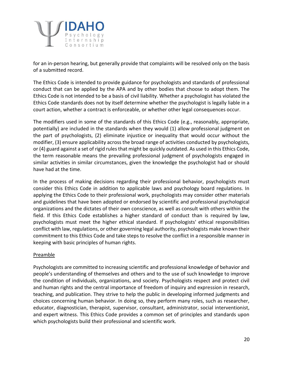

for an in-person hearing, but generally provide that complaints will be resolved only on the basis of a submitted record.

The Ethics Code is intended to provide guidance for psychologists and standards of professional conduct that can be applied by the APA and by other bodies that choose to adopt them. The Ethics Code is not intended to be a basis of civil liability. Whether a psychologist has violated the Ethics Code standards does not by itself determine whether the psychologist is legally liable in a court action, whether a contract is enforceable, or whether other legal consequences occur.

The modifiers used in some of the standards of this Ethics Code (e.g., reasonably, appropriate, potentially) are included in the standards when they would (1) allow professional judgment on the part of psychologists, (2) eliminate injustice or inequality that would occur without the modifier, (3) ensure applicability across the broad range of activities conducted by psychologists, or (4) guard against a set of rigid rules that might be quickly outdated. As used in this Ethics Code, the term reasonable means the prevailing professional judgment of psychologists engaged in similar activities in similar circumstances, given the knowledge the psychologist had or should have had at the time.

In the process of making decisions regarding their professional behavior, psychologists must consider this Ethics Code in addition to applicable laws and psychology board regulations. In applying the Ethics Code to their professional work, psychologists may consider other materials and guidelines that have been adopted or endorsed by scientific and professional psychological organizations and the dictates of their own conscience, as well as consult with others within the field. If this Ethics Code establishes a higher standard of conduct than is required by law, psychologists must meet the higher ethical standard. If psychologists' ethical responsibilities conflict with law, regulations, or other governing legal authority, psychologists make known their commitment to this Ethics Code and take steps to resolve the conflict in a responsible manner in keeping with basic principles of human rights.

#### Preamble

Psychologists are committed to increasing scientific and professional knowledge of behavior and people's understanding of themselves and others and to the use of such knowledge to improve the condition of individuals, organizations, and society. Psychologists respect and protect civil and human rights and the central importance of freedom of inquiry and expression in research, teaching, and publication. They strive to help the public in developing informed judgments and choices concerning human behavior. In doing so, they perform many roles, such as researcher, educator, diagnostician, therapist, supervisor, consultant, administrator, social interventionist, and expert witness. This Ethics Code provides a common set of principles and standards upon which psychologists build their professional and scientific work.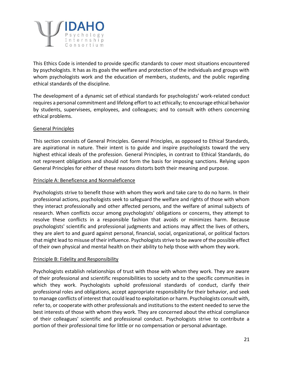This Ethics Code is intended to provide specific standards to cover most situations encountered by psychologists. It has as its goals the welfare and protection of the individuals and groups with whom psychologists work and the education of members, students, and the public regarding ethical standards of the discipline.

The development of a dynamic set of ethical standards for psychologists' work-related conduct requires a personal commitment and lifelong effort to act ethically; to encourage ethical behavior by students, supervisees, employees, and colleagues; and to consult with others concerning ethical problems.

### General Principles

This section consists of General Principles. General Principles, as opposed to Ethical Standards, are aspirational in nature. Their intent is to guide and inspire psychologists toward the very highest ethical ideals of the profession. General Principles, in contrast to Ethical Standards, do not represent obligations and should not form the basis for imposing sanctions. Relying upon General Principles for either of these reasons distorts both their meaning and purpose.

#### Principle A: Beneficence and Nonmaleficence

Psychologists strive to benefit those with whom they work and take care to do no harm. In their professional actions, psychologists seek to safeguard the welfare and rights of those with whom they interact professionally and other affected persons, and the welfare of animal subjects of research. When conflicts occur among psychologists' obligations or concerns, they attempt to resolve these conflicts in a responsible fashion that avoids or minimizes harm. Because psychologists' scientific and professional judgments and actions may affect the lives of others, they are alert to and guard against personal, financial, social, organizational, or political factors that might lead to misuse of their influence. Psychologists strive to be aware of the possible effect of their own physical and mental health on their ability to help those with whom they work.

#### Principle B: Fidelity and Responsibility

Psychologists establish relationships of trust with those with whom they work. They are aware of their professional and scientific responsibilities to society and to the specific communities in which they work. Psychologists uphold professional standards of conduct, clarify their professional roles and obligations, accept appropriate responsibility for their behavior, and seek to manage conflicts of interest that could lead to exploitation or harm. Psychologists consult with, refer to, or cooperate with other professionals and institutions to the extent needed to serve the best interests of those with whom they work. They are concerned about the ethical compliance of their colleagues' scientific and professional conduct. Psychologists strive to contribute a portion of their professional time for little or no compensation or personal advantage.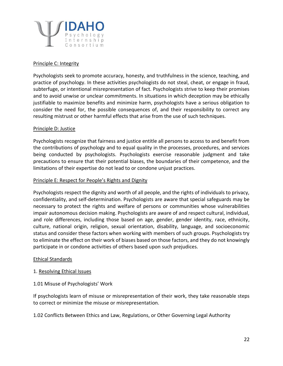#### Principle C: Integrity

Psychologists seek to promote accuracy, honesty, and truthfulness in the science, teaching, and practice of psychology. In these activities psychologists do not steal, cheat, or engage in fraud, subterfuge, or intentional misrepresentation of fact. Psychologists strive to keep their promises and to avoid unwise or unclear commitments. In situations in which deception may be ethically justifiable to maximize benefits and minimize harm, psychologists have a serious obligation to consider the need for, the possible consequences of, and their responsibility to correct any resulting mistrust or other harmful effects that arise from the use of such techniques.

#### Principle D: Justice

Psychologists recognize that fairness and justice entitle all persons to access to and benefit from the contributions of psychology and to equal quality in the processes, procedures, and services being conducted by psychologists. Psychologists exercise reasonable judgment and take precautions to ensure that their potential biases, the boundaries of their competence, and the limitations of their expertise do not lead to or condone unjust practices.

#### Principle E: Respect for People's Rights and Dignity

Psychologists respect the dignity and worth of all people, and the rights of individuals to privacy, confidentiality, and self-determination. Psychologists are aware that special safeguards may be necessary to protect the rights and welfare of persons or communities whose vulnerabilities impair autonomous decision making. Psychologists are aware of and respect cultural, individual, and role differences, including those based on age, gender, gender identity, race, ethnicity, culture, national origin, religion, sexual orientation, disability, language, and socioeconomic status and consider these factors when working with members of such groups. Psychologists try to eliminate the effect on their work of biases based on those factors, and they do not knowingly participate in or condone activities of others based upon such prejudices.

#### Ethical Standards

#### 1. Resolving Ethical Issues

#### 1.01 Misuse of Psychologists' Work

If psychologists learn of misuse or misrepresentation of their work, they take reasonable steps to correct or minimize the misuse or misrepresentation.

1.02 Conflicts Between Ethics and Law, Regulations, or Other Governing Legal Authority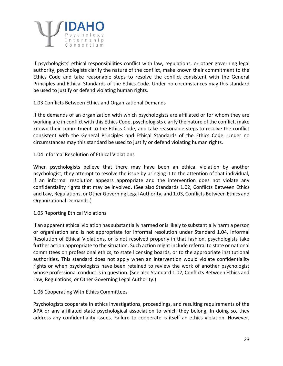

If psychologists' ethical responsibilities conflict with law, regulations, or other governing legal authority, psychologists clarify the nature of the conflict, make known their commitment to the Ethics Code and take reasonable steps to resolve the conflict consistent with the General Principles and Ethical Standards of the Ethics Code. Under no circumstances may this standard be used to justify or defend violating human rights.

1.03 Conflicts Between Ethics and Organizational Demands

If the demands of an organization with which psychologists are affiliated or for whom they are working are in conflict with this Ethics Code, psychologists clarify the nature of the conflict, make known their commitment to the Ethics Code, and take reasonable steps to resolve the conflict consistent with the General Principles and Ethical Standards of the Ethics Code. Under no circumstances may this standard be used to justify or defend violating human rights.

#### 1.04 Informal Resolution of Ethical Violations

When psychologists believe that there may have been an ethical violation by another psychologist, they attempt to resolve the issue by bringing it to the attention of that individual, if an informal resolution appears appropriate and the intervention does not violate any confidentiality rights that may be involved. (See also Standards 1.02, Conflicts Between Ethics and Law, Regulations, or Other Governing Legal Authority, and 1.03, Conflicts Between Ethics and Organizational Demands.)

#### 1.05 Reporting Ethical Violations

If an apparent ethical violation has substantially harmed or is likely to substantially harm a person or organization and is not appropriate for informal resolution under Standard 1.04, Informal Resolution of Ethical Violations, or is not resolved properly in that fashion, psychologists take further action appropriate to the situation. Such action might include referral to state or national committees on professional ethics, to state licensing boards, or to the appropriate institutional authorities. This standard does not apply when an intervention would violate confidentiality rights or when psychologists have been retained to review the work of another psychologist whose professional conduct is in question. (See also Standard 1.02, Conflicts Between Ethics and Law, Regulations, or Other Governing Legal Authority.)

#### 1.06 Cooperating With Ethics Committees

Psychologists cooperate in ethics investigations, proceedings, and resulting requirements of the APA or any affiliated state psychological association to which they belong. In doing so, they address any confidentiality issues. Failure to cooperate is itself an ethics violation. However,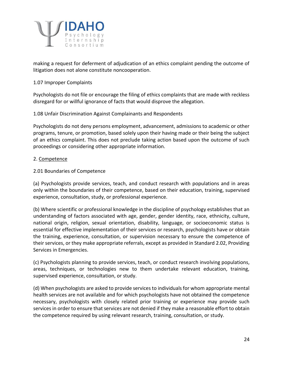

making a request for deferment of adjudication of an ethics complaint pending the outcome of litigation does not alone constitute noncooperation.

#### 1.07 Improper Complaints

Psychologists do not file or encourage the filing of ethics complaints that are made with reckless disregard for or willful ignorance of facts that would disprove the allegation.

#### 1.08 Unfair Discrimination Against Complainants and Respondents

Psychologists do not deny persons employment, advancement, admissions to academic or other programs, tenure, or promotion, based solely upon their having made or their being the subject of an ethics complaint. This does not preclude taking action based upon the outcome of such proceedings or considering other appropriate information.

#### 2. Competence

#### 2.01 Boundaries of Competence

(a) Psychologists provide services, teach, and conduct research with populations and in areas only within the boundaries of their competence, based on their education, training, supervised experience, consultation, study, or professional experience.

(b) Where scientific or professional knowledge in the discipline of psychology establishes that an understanding of factors associated with age, gender, gender identity, race, ethnicity, culture, national origin, religion, sexual orientation, disability, language, or socioeconomic status is essential for effective implementation of their services or research, psychologists have or obtain the training, experience, consultation, or supervision necessary to ensure the competence of their services, or they make appropriate referrals, except as provided in Standard 2.02, Providing Services in Emergencies.

(c) Psychologists planning to provide services, teach, or conduct research involving populations, areas, techniques, or technologies new to them undertake relevant education, training, supervised experience, consultation, or study.

(d) When psychologists are asked to provide services to individuals for whom appropriate mental health services are not available and for which psychologists have not obtained the competence necessary, psychologists with closely related prior training or experience may provide such services in order to ensure that services are not denied if they make a reasonable effort to obtain the competence required by using relevant research, training, consultation, or study.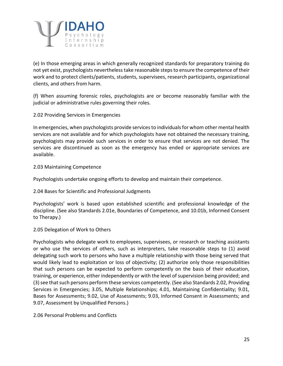

(e) In those emerging areas in which generally recognized standards for preparatory training do not yet exist, psychologists nevertheless take reasonable steps to ensure the competence of their work and to protect clients/patients, students, supervisees, research participants, organizational clients, and others from harm.

(f) When assuming forensic roles, psychologists are or become reasonably familiar with the judicial or administrative rules governing their roles.

2.02 Providing Services in Emergencies

In emergencies, when psychologists provide services to individuals for whom other mental health services are not available and for which psychologists have not obtained the necessary training, psychologists may provide such services in order to ensure that services are not denied. The services are discontinued as soon as the emergency has ended or appropriate services are available.

#### 2.03 Maintaining Competence

Psychologists undertake ongoing efforts to develop and maintain their competence.

2.04 Bases for Scientific and Professional Judgments

Psychologists' work is based upon established scientific and professional knowledge of the discipline. (See also Standards 2.01e, Boundaries of Competence, and 10.01b, Informed Consent to Therapy.)

#### 2.05 Delegation of Work to Others

Psychologists who delegate work to employees, supervisees, or research or teaching assistants or who use the services of others, such as interpreters, take reasonable steps to (1) avoid delegating such work to persons who have a multiple relationship with those being served that would likely lead to exploitation or loss of objectivity; (2) authorize only those responsibilities that such persons can be expected to perform competently on the basis of their education, training, or experience, either independently or with the level of supervision being provided; and (3) see that such persons perform these services competently. (See also Standards 2.02, Providing Services in Emergencies; 3.05, Multiple Relationships; 4.01, Maintaining Confidentiality; 9.01, Bases for Assessments; 9.02, Use of Assessments; 9.03, Informed Consent in Assessments; and 9.07, Assessment by Unqualified Persons.)

2.06 Personal Problems and Conflicts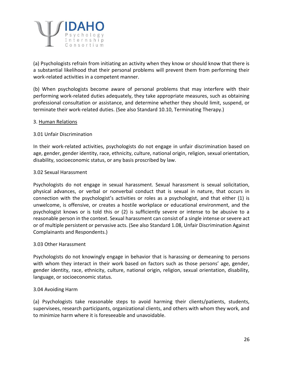

(a) Psychologists refrain from initiating an activity when they know or should know that there is a substantial likelihood that their personal problems will prevent them from performing their work-related activities in a competent manner.

(b) When psychologists become aware of personal problems that may interfere with their performing work-related duties adequately, they take appropriate measures, such as obtaining professional consultation or assistance, and determine whether they should limit, suspend, or terminate their work-related duties. (See also Standard 10.10, Terminating Therapy.)

#### 3. Human Relations

#### 3.01 Unfair Discrimination

In their work-related activities, psychologists do not engage in unfair discrimination based on age, gender, gender identity, race, ethnicity, culture, national origin, religion, sexual orientation, disability, socioeconomic status, or any basis proscribed by law.

#### 3.02 Sexual Harassment

Psychologists do not engage in sexual harassment. Sexual harassment is sexual solicitation, physical advances, or verbal or nonverbal conduct that is sexual in nature, that occurs in connection with the psychologist's activities or roles as a psychologist, and that either (1) is unwelcome, is offensive, or creates a hostile workplace or educational environment, and the psychologist knows or is told this or (2) is sufficiently severe or intense to be abusive to a reasonable person in the context. Sexual harassment can consist of a single intense or severe act or of multiple persistent or pervasive acts. (See also Standard 1.08, Unfair Discrimination Against Complainants and Respondents.)

#### 3.03 Other Harassment

Psychologists do not knowingly engage in behavior that is harassing or demeaning to persons with whom they interact in their work based on factors such as those persons' age, gender, gender identity, race, ethnicity, culture, national origin, religion, sexual orientation, disability, language, or socioeconomic status.

#### 3.04 Avoiding Harm

(a) Psychologists take reasonable steps to avoid harming their clients/patients, students, supervisees, research participants, organizational clients, and others with whom they work, and to minimize harm where it is foreseeable and unavoidable.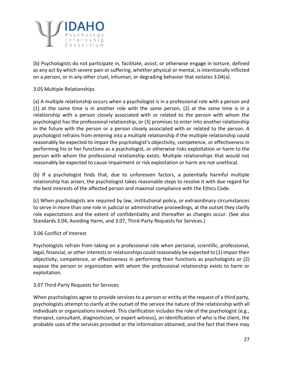

(b) Psychologists do not participate in, facilitate, assist, or otherwise engage in torture, defined as any act by which severe pain or suffering, whether physical or mental, is intentionally inflicted on a person, or in any other cruel, inhuman, or degrading behavior that violates 3.04(a).

#### 3.05 Multiple Relationships

(a) A multiple relationship occurs when a psychologist is in a professional role with a person and (1) at the same time is in another role with the same person, (2) at the same time is in a relationship with a person closely associated with or related to the person with whom the psychologist has the professional relationship, or (3) promises to enter into another relationship in the future with the person or a person closely associated with or related to the person. A psychologist refrains from entering into a multiple relationship if the multiple relationship could reasonably be expected to impair the psychologist's objectivity, competence, or effectiveness in performing his or her functions as a psychologist, or otherwise risks exploitation or harm to the person with whom the professional relationship exists. Multiple relationships that would not reasonably be expected to cause impairment or risk exploitation or harm are not unethical.

(b) If a psychologist finds that, due to unforeseen factors, a potentially harmful multiple relationship has arisen, the psychologist takes reasonable steps to resolve it with due regard for the best interests of the affected person and maximal compliance with the Ethics Code.

(c) When psychologists are required by law, institutional policy, or extraordinary circumstances to serve in more than one role in judicial or administrative proceedings, at the outset they clarify role expectations and the extent of confidentiality and thereafter as changes occur. (See also Standards 3.04, Avoiding Harm, and 3.07, Third-Party Requests for Services.)

#### 3.06 Conflict of Interest

Psychologists refrain from taking on a professional role when personal, scientific, professional, legal, financial, or other interests or relationships could reasonably be expected to (1) impair their objectivity, competence, or effectiveness in performing their functions as psychologists or (2) expose the person or organization with whom the professional relationship exists to harm or exploitation.

#### 3.07 Third-Party Requests for Services

When psychologists agree to provide services to a person or entity at the request of a third party, psychologists attempt to clarify at the outset of the service the nature of the relationship with all individuals or organizations involved. This clarification includes the role of the psychologist (e.g., therapist, consultant, diagnostician, or expert witness), an identification of who is the client, the probable uses of the services provided or the information obtained, and the fact that there may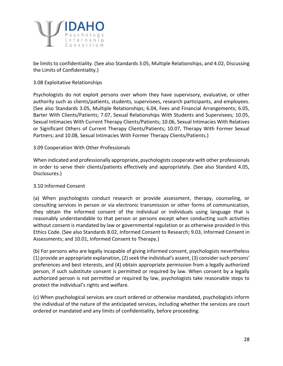

be limits to confidentiality. (See also Standards 3.05, Multiple Relationships, and 4.02, Discussing the Limits of Confidentiality.)

#### 3.08 Exploitative Relationships

Psychologists do not exploit persons over whom they have supervisory, evaluative, or other authority such as clients/patients, students, supervisees, research participants, and employees. (See also Standards 3.05, Multiple Relationships; 6.04, Fees and Financial Arrangements; 6.05, Barter With Clients/Patients; 7.07, Sexual Relationships With Students and Supervisees; 10.05, Sexual Intimacies With Current Therapy Clients/Patients; 10.06, Sexual Intimacies With Relatives or Significant Others of Current Therapy Clients/Patients; 10.07, Therapy With Former Sexual Partners; and 10.08, Sexual Intimacies With Former Therapy Clients/Patients.)

#### 3.09 Cooperation With Other Professionals

When indicated and professionally appropriate, psychologists cooperate with other professionals in order to serve their clients/patients effectively and appropriately. (See also Standard 4.05, Disclosures.)

#### 3.10 Informed Consent

(a) When psychologists conduct research or provide assessment, therapy, counseling, or consulting services in person or via electronic transmission or other forms of communication, they obtain the informed consent of the individual or individuals using language that is reasonably understandable to that person or persons except when conducting such activities without consent is mandated by law or governmental regulation or as otherwise provided in this Ethics Code. (See also Standards 8.02, Informed Consent to Research; 9.03, Informed Consent in Assessments; and 10.01, Informed Consent to Therapy.)

(b) For persons who are legally incapable of giving informed consent, psychologists nevertheless (1) provide an appropriate explanation, (2) seek the individual's assent, (3) consider such persons' preferences and best interests, and (4) obtain appropriate permission from a legally authorized person, if such substitute consent is permitted or required by law. When consent by a legally authorized person is not permitted or required by law, psychologists take reasonable steps to protect the individual's rights and welfare.

(c) When psychological services are court ordered or otherwise mandated, psychologists inform the individual of the nature of the anticipated services, including whether the services are court ordered or mandated and any limits of confidentiality, before proceeding.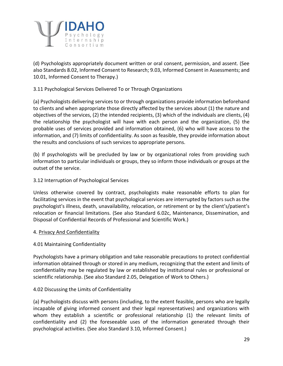

(d) Psychologists appropriately document written or oral consent, permission, and assent. (See also Standards 8.02, Informed Consent to Research; 9.03, Informed Consent in Assessments; and 10.01, Informed Consent to Therapy.)

#### 3.11 Psychological Services Delivered To or Through Organizations

(a) Psychologists delivering services to or through organizations provide information beforehand to clients and when appropriate those directly affected by the services about (1) the nature and objectives of the services, (2) the intended recipients, (3) which of the individuals are clients, (4) the relationship the psychologist will have with each person and the organization, (5) the probable uses of services provided and information obtained, (6) who will have access to the information, and (7) limits of confidentiality. As soon as feasible, they provide information about the results and conclusions of such services to appropriate persons.

(b) If psychologists will be precluded by law or by organizational roles from providing such information to particular individuals or groups, they so inform those individuals or groups at the outset of the service.

#### 3.12 Interruption of Psychological Services

Unless otherwise covered by contract, psychologists make reasonable efforts to plan for facilitating services in the event that psychological services are interrupted by factors such as the psychologist's illness, death, unavailability, relocation, or retirement or by the client's/patient's relocation or financial limitations. (See also Standard 6.02c, Maintenance, Dissemination, and Disposal of Confidential Records of Professional and Scientific Work.)

#### 4. Privacy And Confidentiality

#### 4.01 Maintaining Confidentiality

Psychologists have a primary obligation and take reasonable precautions to protect confidential information obtained through or stored in any medium, recognizing that the extent and limits of confidentiality may be regulated by law or established by institutional rules or professional or scientific relationship. (See also Standard 2.05, Delegation of Work to Others.)

#### 4.02 Discussing the Limits of Confidentiality

(a) Psychologists discuss with persons (including, to the extent feasible, persons who are legally incapable of giving informed consent and their legal representatives) and organizations with whom they establish a scientific or professional relationship (1) the relevant limits of confidentiality and (2) the foreseeable uses of the information generated through their psychological activities. (See also Standard 3.10, Informed Consent.)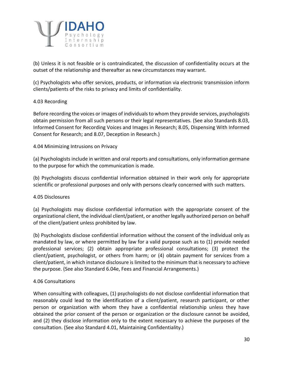

(b) Unless it is not feasible or is contraindicated, the discussion of confidentiality occurs at the outset of the relationship and thereafter as new circumstances may warrant.

(c) Psychologists who offer services, products, or information via electronic transmission inform clients/patients of the risks to privacy and limits of confidentiality.

#### 4.03 Recording

Before recording the voices or images of individuals to whom they provide services, psychologists obtain permission from all such persons or their legal representatives. (See also Standards 8.03, Informed Consent for Recording Voices and Images in Research; 8.05, Dispensing With Informed Consent for Research; and 8.07, Deception in Research.)

#### 4.04 Minimizing Intrusions on Privacy

(a) Psychologists include in written and oral reports and consultations, only information germane to the purpose for which the communication is made.

(b) Psychologists discuss confidential information obtained in their work only for appropriate scientific or professional purposes and only with persons clearly concerned with such matters.

#### 4.05 Disclosures

(a) Psychologists may disclose confidential information with the appropriate consent of the organizational client, the individual client/patient, or another legally authorized person on behalf of the client/patient unless prohibited by law.

(b) Psychologists disclose confidential information without the consent of the individual only as mandated by law, or where permitted by law for a valid purpose such as to (1) provide needed professional services; (2) obtain appropriate professional consultations; (3) protect the client/patient, psychologist, or others from harm; or (4) obtain payment for services from a client/patient, in which instance disclosure is limited to the minimum that is necessary to achieve the purpose. (See also Standard 6.04e, Fees and Financial Arrangements.)

#### 4.06 Consultations

When consulting with colleagues, (1) psychologists do not disclose confidential information that reasonably could lead to the identification of a client/patient, research participant, or other person or organization with whom they have a confidential relationship unless they have obtained the prior consent of the person or organization or the disclosure cannot be avoided, and (2) they disclose information only to the extent necessary to achieve the purposes of the consultation. (See also Standard 4.01, Maintaining Confidentiality.)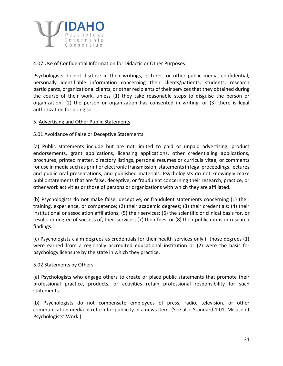

#### 4.07 Use of Confidential Information for Didactic or Other Purposes

Psychologists do not disclose in their writings, lectures, or other public media, confidential, personally identifiable information concerning their clients/patients, students, research participants, organizational clients, or other recipients of their services that they obtained during the course of their work, unless (1) they take reasonable steps to disguise the person or organization, (2) the person or organization has consented in writing, or (3) there is legal authorization for doing so.

#### 5. Advertising and Other Public Statements

#### 5.01 Avoidance of False or Deceptive Statements

(a) Public statements include but are not limited to paid or unpaid advertising, product endorsements, grant applications, licensing applications, other credentialing applications, brochures, printed matter, directory listings, personal resumes or curricula vitae, or comments for use in media such as print or electronic transmission, statements in legal proceedings, lectures and public oral presentations, and published materials. Psychologists do not knowingly make public statements that are false, deceptive, or fraudulent concerning their research, practice, or other work activities or those of persons or organizations with which they are affiliated.

(b) Psychologists do not make false, deceptive, or fraudulent statements concerning (1) their training, experience, or competence; (2) their academic degrees; (3) their credentials; (4) their institutional or association affiliations; (5) their services; (6) the scientific or clinical basis for, or results or degree of success of, their services; (7) their fees; or (8) their publications or research findings.

(c) Psychologists claim degrees as credentials for their health services only if those degrees (1) were earned from a regionally accredited educational institution or (2) were the basis for psychology licensure by the state in which they practice.

#### 5.02 Statements by Others

(a) Psychologists who engage others to create or place public statements that promote their professional practice, products, or activities retain professional responsibility for such statements.

(b) Psychologists do not compensate employees of press, radio, television, or other communication media in return for publicity in a news item. (See also Standard 1.01, Misuse of Psychologists' Work.)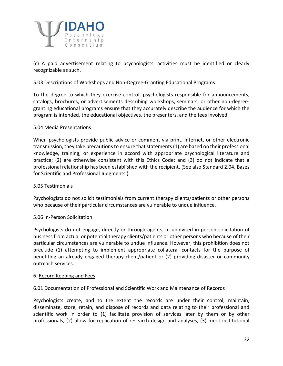

(c) A paid advertisement relating to psychologists' activities must be identified or clearly recognizable as such.

5.03 Descriptions of Workshops and Non-Degree-Granting Educational Programs

To the degree to which they exercise control, psychologists responsible for announcements, catalogs, brochures, or advertisements describing workshops, seminars, or other non-degreegranting educational programs ensure that they accurately describe the audience for which the program is intended, the educational objectives, the presenters, and the fees involved.

#### 5.04 Media Presentations

When psychologists provide public advice or comment via print, internet, or other electronic transmission, they take precautions to ensure that statements (1) are based on their professional knowledge, training, or experience in accord with appropriate psychological literature and practice; (2) are otherwise consistent with this Ethics Code; and (3) do not indicate that a professional relationship has been established with the recipient. (See also Standard 2.04, Bases for Scientific and Professional Judgments.)

#### 5.05 Testimonials

Psychologists do not solicit testimonials from current therapy clients/patients or other persons who because of their particular circumstances are vulnerable to undue influence.

#### 5.06 In-Person Solicitation

Psychologists do not engage, directly or through agents, in uninvited in-person solicitation of business from actual or potential therapy clients/patients or other persons who because of their particular circumstances are vulnerable to undue influence. However, this prohibition does not preclude (1) attempting to implement appropriate collateral contacts for the purpose of benefiting an already engaged therapy client/patient or (2) providing disaster or community outreach services.

#### 6. Record Keeping and Fees

#### 6.01 Documentation of Professional and Scientific Work and Maintenance of Records

Psychologists create, and to the extent the records are under their control, maintain, disseminate, store, retain, and dispose of records and data relating to their professional and scientific work in order to (1) facilitate provision of services later by them or by other professionals, (2) allow for replication of research design and analyses, (3) meet institutional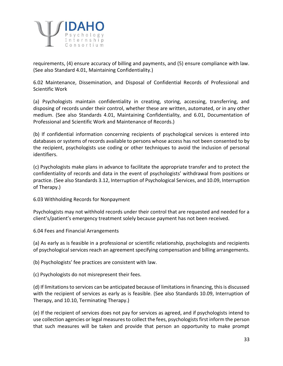

requirements, (4) ensure accuracy of billing and payments, and (5) ensure compliance with law. (See also Standard 4.01, Maintaining Confidentiality.)

6.02 Maintenance, Dissemination, and Disposal of Confidential Records of Professional and Scientific Work

(a) Psychologists maintain confidentiality in creating, storing, accessing, transferring, and disposing of records under their control, whether these are written, automated, or in any other medium. (See also Standards 4.01, Maintaining Confidentiality, and 6.01, Documentation of Professional and Scientific Work and Maintenance of Records.)

(b) If confidential information concerning recipients of psychological services is entered into databases or systems of records available to persons whose access has not been consented to by the recipient, psychologists use coding or other techniques to avoid the inclusion of personal identifiers.

(c) Psychologists make plans in advance to facilitate the appropriate transfer and to protect the confidentiality of records and data in the event of psychologists' withdrawal from positions or practice. (See also Standards 3.12, Interruption of Psychological Services, and 10.09, Interruption of Therapy.)

6.03 Withholding Records for Nonpayment

Psychologists may not withhold records under their control that are requested and needed for a client's/patient's emergency treatment solely because payment has not been received.

6.04 Fees and Financial Arrangements

(a) As early as is feasible in a professional or scientific relationship, psychologists and recipients of psychological services reach an agreement specifying compensation and billing arrangements.

(b) Psychologists' fee practices are consistent with law.

(c) Psychologists do not misrepresent their fees.

(d) If limitations to services can be anticipated because of limitations in financing, this is discussed with the recipient of services as early as is feasible. (See also Standards 10.09, Interruption of Therapy, and 10.10, Terminating Therapy.)

(e) If the recipient of services does not pay for services as agreed, and if psychologists intend to use collection agencies or legal measures to collect the fees, psychologists first inform the person that such measures will be taken and provide that person an opportunity to make prompt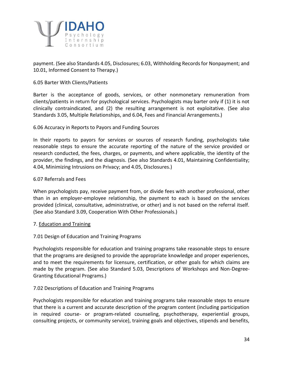

payment. (See also Standards 4.05, Disclosures; 6.03, Withholding Records for Nonpayment; and 10.01, Informed Consent to Therapy.)

#### 6.05 Barter With Clients/Patients

Barter is the acceptance of goods, services, or other nonmonetary remuneration from clients/patients in return for psychological services. Psychologists may barter only if (1) it is not clinically contraindicated, and (2) the resulting arrangement is not exploitative. (See also Standards 3.05, Multiple Relationships, and 6.04, Fees and Financial Arrangements.)

#### 6.06 Accuracy in Reports to Payors and Funding Sources

In their reports to payors for services or sources of research funding, psychologists take reasonable steps to ensure the accurate reporting of the nature of the service provided or research conducted, the fees, charges, or payments, and where applicable, the identity of the provider, the findings, and the diagnosis. (See also Standards 4.01, Maintaining Confidentiality; 4.04, Minimizing Intrusions on Privacy; and 4.05, Disclosures.)

#### 6.07 Referrals and Fees

When psychologists pay, receive payment from, or divide fees with another professional, other than in an employer-employee relationship, the payment to each is based on the services provided (clinical, consultative, administrative, or other) and is not based on the referral itself. (See also Standard 3.09, Cooperation With Other Professionals.)

#### 7. Education and Training

#### 7.01 Design of Education and Training Programs

Psychologists responsible for education and training programs take reasonable steps to ensure that the programs are designed to provide the appropriate knowledge and proper experiences, and to meet the requirements for licensure, certification, or other goals for which claims are made by the program. (See also Standard 5.03, Descriptions of Workshops and Non-Degree-Granting Educational Programs.)

#### 7.02 Descriptions of Education and Training Programs

Psychologists responsible for education and training programs take reasonable steps to ensure that there is a current and accurate description of the program content (including participation in required course- or program-related counseling, psychotherapy, experiential groups, consulting projects, or community service), training goals and objectives, stipends and benefits,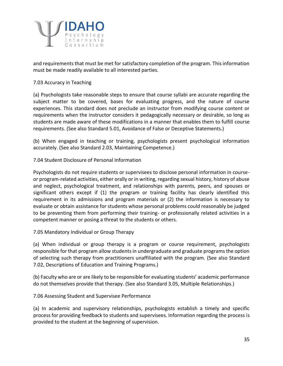

and requirements that must be met for satisfactory completion of the program. This information must be made readily available to all interested parties.

#### 7.03 Accuracy in Teaching

(a) Psychologists take reasonable steps to ensure that course syllabi are accurate regarding the subject matter to be covered, bases for evaluating progress, and the nature of course experiences. This standard does not preclude an instructor from modifying course content or requirements when the instructor considers it pedagogically necessary or desirable, so long as students are made aware of these modifications in a manner that enables them to fulfill course requirements. (See also Standard 5.01, Avoidance of False or Deceptive Statements.)

(b) When engaged in teaching or training, psychologists present psychological information accurately. (See also Standard 2.03, Maintaining Competence.)

7.04 Student Disclosure of Personal Information

Psychologists do not require students or supervisees to disclose personal information in courseor program-related activities, either orally or in writing, regarding sexual history, history of abuse and neglect, psychological treatment, and relationships with parents, peers, and spouses or significant others except if (1) the program or training facility has clearly identified this requirement in its admissions and program materials or (2) the information is necessary to evaluate or obtain assistance for students whose personal problems could reasonably be judged to be preventing them from performing their training- or professionally related activities in a competent manner or posing a threat to the students or others.

7.05 Mandatory Individual or Group Therapy

(a) When individual or group therapy is a program or course requirement, psychologists responsible for that program allow students in undergraduate and graduate programs the option of selecting such therapy from practitioners unaffiliated with the program. (See also Standard 7.02, Descriptions of Education and Training Programs.)

(b) Faculty who are or are likely to be responsible for evaluating students' academic performance do not themselves provide that therapy. (See also Standard 3.05, Multiple Relationships.)

7.06 Assessing Student and Supervisee Performance

(a) In academic and supervisory relationships, psychologists establish a timely and specific process for providing feedback to students and supervisees. Information regarding the process is provided to the student at the beginning of supervision.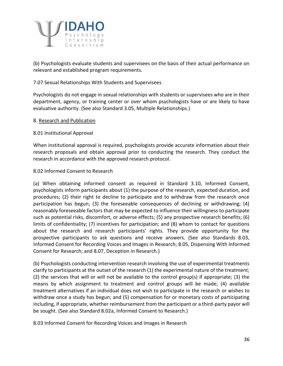

(b) Psychologists evaluate students and supervisees on the basis of their actual performance on relevant and established program requirements.

#### 7.07 Sexual Relationships With Students and Supervisees

Psychologists do not engage in sexual relationships with students or supervisees who are in their department, agency, or training center or over whom psychologists have or are likely to have evaluative authority. (See also Standard 3.05, Multiple Relationships.)

#### 8. Research and Publication

#### 8.01 Institutional Approval

When institutional approval is required, psychologists provide accurate information about their research proposals and obtain approval prior to conducting the research. They conduct the research in accordance with the approved research protocol.

#### 8.02 Informed Consent to Research

(a) When obtaining informed consent as required in Standard 3.10, Informed Consent, psychologists inform participants about (1) the purpose of the research, expected duration, and procedures; (2) their right to decline to participate and to withdraw from the research once participation has begun; (3) the foreseeable consequences of declining or withdrawing; (4) reasonably foreseeable factors that may be expected to influence their willingness to participate such as potential risks, discomfort, or adverse effects; (5) any prospective research benefits; (6) limits of confidentiality; (7) incentives for participation; and (8) whom to contact for questions about the research and research participants' rights. They provide opportunity for the prospective participants to ask questions and receive answers. (See also Standards 8.03, Informed Consent for Recording Voices and Images in Research; 8.05, Dispensing With Informed Consent for Research; and 8.07, Deception in Research.)

(b) Psychologists conducting intervention research involving the use of experimental treatments clarify to participants at the outset of the research (1) the experimental nature of the treatment; (2) the services that will or will not be available to the control group(s) if appropriate; (3) the means by which assignment to treatment and control groups will be made; (4) available treatment alternatives if an individual does not wish to participate in the research or wishes to withdraw once a study has begun; and (5) compensation for or monetary costs of participating including, if appropriate, whether reimbursement from the participant or a third-party payor will be sought. (See also Standard 8.02a, Informed Consent to Research.)

8.03 Informed Consent for Recording Voices and Images in Research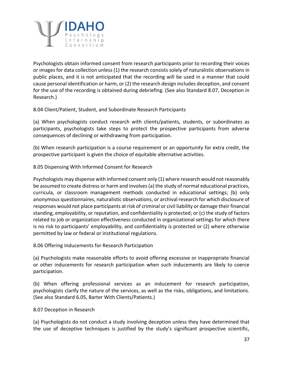Psychologists obtain informed consent from research participants prior to recording their voices or images for data collection unless (1) the research consists solely of naturalistic observations in public places, and it is not anticipated that the recording will be used in a manner that could cause personal identification or harm, or (2) the research design includes deception, and consent for the use of the recording is obtained during debriefing. (See also Standard 8.07, Deception in Research.)

8.04 Client/Patient, Student, and Subordinate Research Participants

(a) When psychologists conduct research with clients/patients, students, or subordinates as participants, psychologists take steps to protect the prospective participants from adverse consequences of declining or withdrawing from participation.

(b) When research participation is a course requirement or an opportunity for extra credit, the prospective participant is given the choice of equitable alternative activities.

8.05 Dispensing With Informed Consent for Research

Psychologists may dispense with informed consent only (1) where research would not reasonably be assumed to create distress or harm and involves (a) the study of normal educational practices, curricula, or classroom management methods conducted in educational settings; (b) only anonymous questionnaires, naturalistic observations, or archival research for which disclosure of responses would not place participants at risk of criminal or civil liability or damage their financial standing, employability, or reputation, and confidentiality is protected; or (c) the study of factors related to job or organization effectiveness conducted in organizational settings for which there is no risk to participants' employability, and confidentiality is protected or (2) where otherwise permitted by law or federal or institutional regulations.

8.06 Offering Inducements for Research Participation

(a) Psychologists make reasonable efforts to avoid offering excessive or inappropriate financial or other inducements for research participation when such inducements are likely to coerce participation.

(b) When offering professional services as an inducement for research participation, psychologists clarify the nature of the services, as well as the risks, obligations, and limitations. (See also Standard 6.05, Barter With Clients/Patients.)

8.07 Deception in Research

(a) Psychologists do not conduct a study involving deception unless they have determined that the use of deceptive techniques is justified by the study's significant prospective scientific,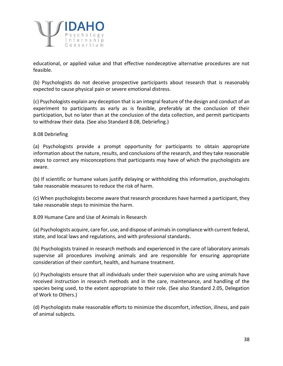

educational, or applied value and that effective nondeceptive alternative procedures are not feasible.

(b) Psychologists do not deceive prospective participants about research that is reasonably expected to cause physical pain or severe emotional distress.

(c) Psychologists explain any deception that is an integral feature of the design and conduct of an experiment to participants as early as is feasible, preferably at the conclusion of their participation, but no later than at the conclusion of the data collection, and permit participants to withdraw their data. (See also Standard 8.08, Debriefing.)

8.08 Debriefing

(a) Psychologists provide a prompt opportunity for participants to obtain appropriate information about the nature, results, and conclusions of the research, and they take reasonable steps to correct any misconceptions that participants may have of which the psychologists are aware.

(b) If scientific or humane values justify delaying or withholding this information, psychologists take reasonable measures to reduce the risk of harm.

(c) When psychologists become aware that research procedures have harmed a participant, they take reasonable steps to minimize the harm.

8.09 Humane Care and Use of Animals in Research

(a) Psychologists acquire, care for, use, and dispose of animals in compliance with current federal, state, and local laws and regulations, and with professional standards.

(b) Psychologists trained in research methods and experienced in the care of laboratory animals supervise all procedures involving animals and are responsible for ensuring appropriate consideration of their comfort, health, and humane treatment.

(c) Psychologists ensure that all individuals under their supervision who are using animals have received instruction in research methods and in the care, maintenance, and handling of the species being used, to the extent appropriate to their role. (See also Standard 2.05, Delegation of Work to Others.)

(d) Psychologists make reasonable efforts to minimize the discomfort, infection, illness, and pain of animal subjects.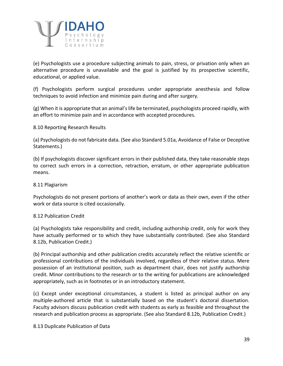

(e) Psychologists use a procedure subjecting animals to pain, stress, or privation only when an alternative procedure is unavailable and the goal is justified by its prospective scientific, educational, or applied value.

(f) Psychologists perform surgical procedures under appropriate anesthesia and follow techniques to avoid infection and minimize pain during and after surgery.

(g) When it is appropriate that an animal's life be terminated, psychologists proceed rapidly, with an effort to minimize pain and in accordance with accepted procedures.

8.10 Reporting Research Results

(a) Psychologists do not fabricate data. (See also Standard 5.01a, Avoidance of False or Deceptive Statements.)

(b) If psychologists discover significant errors in their published data, they take reasonable steps to correct such errors in a correction, retraction, erratum, or other appropriate publication means.

## 8.11 Plagiarism

Psychologists do not present portions of another's work or data as their own, even if the other work or data source is cited occasionally.

## 8.12 Publication Credit

(a) Psychologists take responsibility and credit, including authorship credit, only for work they have actually performed or to which they have substantially contributed. (See also Standard 8.12b, Publication Credit.)

(b) Principal authorship and other publication credits accurately reflect the relative scientific or professional contributions of the individuals involved, regardless of their relative status. Mere possession of an institutional position, such as department chair, does not justify authorship credit. Minor contributions to the research or to the writing for publications are acknowledged appropriately, such as in footnotes or in an introductory statement.

(c) Except under exceptional circumstances, a student is listed as principal author on any multiple-authored article that is substantially based on the student's doctoral dissertation. Faculty advisors discuss publication credit with students as early as feasible and throughout the research and publication process as appropriate. (See also Standard 8.12b, Publication Credit.)

# 8.13 Duplicate Publication of Data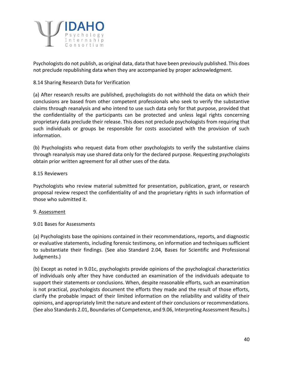

Psychologists do not publish, as original data, data that have been previously published. This does not preclude republishing data when they are accompanied by proper acknowledgment.

## 8.14 Sharing Research Data for Verification

(a) After research results are published, psychologists do not withhold the data on which their conclusions are based from other competent professionals who seek to verify the substantive claims through reanalysis and who intend to use such data only for that purpose, provided that the confidentiality of the participants can be protected and unless legal rights concerning proprietary data preclude their release. This does not preclude psychologists from requiring that such individuals or groups be responsible for costs associated with the provision of such information.

(b) Psychologists who request data from other psychologists to verify the substantive claims through reanalysis may use shared data only for the declared purpose. Requesting psychologists obtain prior written agreement for all other uses of the data.

### 8.15 Reviewers

Psychologists who review material submitted for presentation, publication, grant, or research proposal review respect the confidentiality of and the proprietary rights in such information of those who submitted it.

## 9. Assessment

## 9.01 Bases for Assessments

(a) Psychologists base the opinions contained in their recommendations, reports, and diagnostic or evaluative statements, including forensic testimony, on information and techniques sufficient to substantiate their findings. (See also Standard 2.04, Bases for Scientific and Professional Judgments.)

(b) Except as noted in 9.01c, psychologists provide opinions of the psychological characteristics of individuals only after they have conducted an examination of the individuals adequate to support their statements or conclusions. When, despite reasonable efforts, such an examination is not practical, psychologists document the efforts they made and the result of those efforts, clarify the probable impact of their limited information on the reliability and validity of their opinions, and appropriately limit the nature and extent of their conclusions or recommendations. (See also Standards 2.01, Boundaries of Competence, and 9.06, Interpreting Assessment Results.)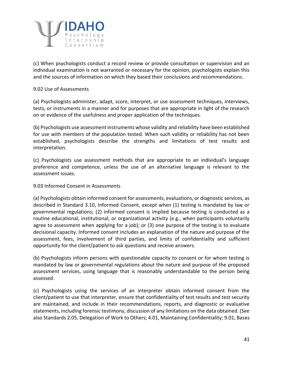

(c) When psychologists conduct a record review or provide consultation or supervision and an individual examination is not warranted or necessary for the opinion, psychologists explain this and the sources of information on which they based their conclusions and recommendations.

## 9.02 Use of Assessments

(a) Psychologists administer, adapt, score, interpret, or use assessment techniques, interviews, tests, or instruments in a manner and for purposes that are appropriate in light of the research on or evidence of the usefulness and proper application of the techniques.

(b) Psychologists use assessment instruments whose validity and reliability have been established for use with members of the population tested. When such validity or reliability has not been established, psychologists describe the strengths and limitations of test results and interpretation.

(c) Psychologists use assessment methods that are appropriate to an individual's language preference and competence, unless the use of an alternative language is relevant to the assessment issues.

## 9.03 Informed Consent in Assessments

(a) Psychologists obtain informed consent for assessments, evaluations, or diagnostic services, as described in Standard 3.10, Informed Consent, except when (1) testing is mandated by law or governmental regulations; (2) informed consent is implied because testing is conducted as a routine educational, institutional, or organizational activity (e.g., when participants voluntarily agree to assessment when applying for a job); or (3) one purpose of the testing is to evaluate decisional capacity. Informed consent includes an explanation of the nature and purpose of the assessment, fees, involvement of third parties, and limits of confidentiality and sufficient opportunity for the client/patient to ask questions and receive answers.

(b) Psychologists inform persons with questionable capacity to consent or for whom testing is mandated by law or governmental regulations about the nature and purpose of the proposed assessment services, using language that is reasonably understandable to the person being assessed.

(c) Psychologists using the services of an interpreter obtain informed consent from the client/patient to use that interpreter, ensure that confidentiality of test results and test security are maintained, and include in their recommendations, reports, and diagnostic or evaluative statements, including forensic testimony, discussion of any limitations on the data obtained. (See also Standards 2.05, Delegation of Work to Others; 4.01, Maintaining Confidentiality; 9.01, Bases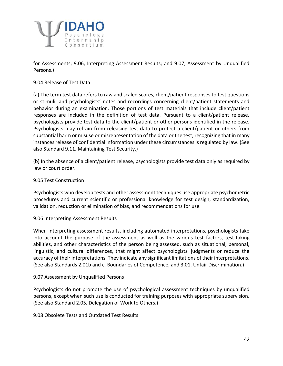

for Assessments; 9.06, Interpreting Assessment Results; and 9.07, Assessment by Unqualified Persons.)

## 9.04 Release of Test Data

(a) The term test data refers to raw and scaled scores, client/patient responses to test questions or stimuli, and psychologists' notes and recordings concerning client/patient statements and behavior during an examination. Those portions of test materials that include client/patient responses are included in the definition of test data. Pursuant to a client/patient release, psychologists provide test data to the client/patient or other persons identified in the release. Psychologists may refrain from releasing test data to protect a client/patient or others from substantial harm or misuse or misrepresentation of the data or the test, recognizing that in many instances release of confidential information under these circumstances is regulated by law. (See also Standard 9.11, Maintaining Test Security.)

(b) In the absence of a client/patient release, psychologists provide test data only as required by law or court order.

## 9.05 Test Construction

Psychologists who develop tests and other assessment techniques use appropriate psychometric procedures and current scientific or professional knowledge for test design, standardization, validation, reduction or elimination of bias, and recommendations for use.

## 9.06 Interpreting Assessment Results

When interpreting assessment results, including automated interpretations, psychologists take into account the purpose of the assessment as well as the various test factors, test-taking abilities, and other characteristics of the person being assessed, such as situational, personal, linguistic, and cultural differences, that might affect psychologists' judgments or reduce the accuracy of their interpretations. They indicate any significant limitations of their interpretations. (See also Standards 2.01b and c, Boundaries of Competence, and 3.01, Unfair Discrimination.)

## 9.07 Assessment by Unqualified Persons

Psychologists do not promote the use of psychological assessment techniques by unqualified persons, except when such use is conducted for training purposes with appropriate supervision. (See also Standard 2.05, Delegation of Work to Others.)

9.08 Obsolete Tests and Outdated Test Results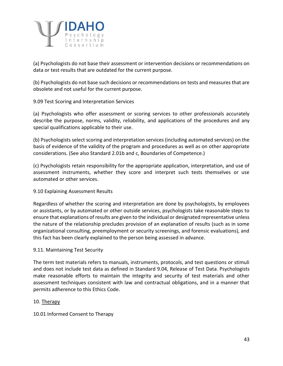

(a) Psychologists do not base their assessment or intervention decisions or recommendations on data or test results that are outdated for the current purpose.

(b) Psychologists do not base such decisions or recommendations on tests and measures that are obsolete and not useful for the current purpose.

9.09 Test Scoring and Interpretation Services

(a) Psychologists who offer assessment or scoring services to other professionals accurately describe the purpose, norms, validity, reliability, and applications of the procedures and any special qualifications applicable to their use.

(b) Psychologists select scoring and interpretation services (including automated services) on the basis of evidence of the validity of the program and procedures as well as on other appropriate considerations. (See also Standard 2.01b and c, Boundaries of Competence.)

(c) Psychologists retain responsibility for the appropriate application, interpretation, and use of assessment instruments, whether they score and interpret such tests themselves or use automated or other services.

# 9.10 Explaining Assessment Results

Regardless of whether the scoring and interpretation are done by psychologists, by employees or assistants, or by automated or other outside services, psychologists take reasonable steps to ensure that explanations of results are given to the individual or designated representative unless the nature of the relationship precludes provision of an explanation of results (such as in some organizational consulting, preemployment or security screenings, and forensic evaluations), and this fact has been clearly explained to the person being assessed in advance.

## 9.11. Maintaining Test Security

The term test materials refers to manuals, instruments, protocols, and test questions or stimuli and does not include test data as defined in Standard 9.04, Release of Test Data. Psychologists make reasonable efforts to maintain the integrity and security of test materials and other assessment techniques consistent with law and contractual obligations, and in a manner that permits adherence to this Ethics Code.

## 10. Therapy

10.01 Informed Consent to Therapy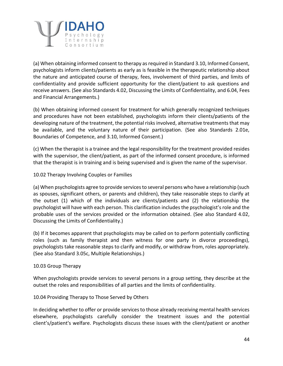

(a) When obtaining informed consent to therapy as required in Standard 3.10, Informed Consent, psychologists inform clients/patients as early as is feasible in the therapeutic relationship about the nature and anticipated course of therapy, fees, involvement of third parties, and limits of confidentiality and provide sufficient opportunity for the client/patient to ask questions and receive answers. (See also Standards 4.02, Discussing the Limits of Confidentiality, and 6.04, Fees and Financial Arrangements.)

(b) When obtaining informed consent for treatment for which generally recognized techniques and procedures have not been established, psychologists inform their clients/patients of the developing nature of the treatment, the potential risks involved, alternative treatments that may be available, and the voluntary nature of their participation. (See also Standards 2.01e, Boundaries of Competence, and 3.10, Informed Consent.)

(c) When the therapist is a trainee and the legal responsibility for the treatment provided resides with the supervisor, the client/patient, as part of the informed consent procedure, is informed that the therapist is in training and is being supervised and is given the name of the supervisor.

## 10.02 Therapy Involving Couples or Families

(a) When psychologists agree to provide services to several persons who have a relationship (such as spouses, significant others, or parents and children), they take reasonable steps to clarify at the outset (1) which of the individuals are clients/patients and (2) the relationship the psychologist will have with each person. This clarification includes the psychologist's role and the probable uses of the services provided or the information obtained. (See also Standard 4.02, Discussing the Limits of Confidentiality.)

(b) If it becomes apparent that psychologists may be called on to perform potentially conflicting roles (such as family therapist and then witness for one party in divorce proceedings), psychologists take reasonable steps to clarify and modify, or withdraw from, roles appropriately. (See also Standard 3.05c, Multiple Relationships.)

## 10.03 Group Therapy

When psychologists provide services to several persons in a group setting, they describe at the outset the roles and responsibilities of all parties and the limits of confidentiality.

# 10.04 Providing Therapy to Those Served by Others

In deciding whether to offer or provide services to those already receiving mental health services elsewhere, psychologists carefully consider the treatment issues and the potential client's/patient's welfare. Psychologists discuss these issues with the client/patient or another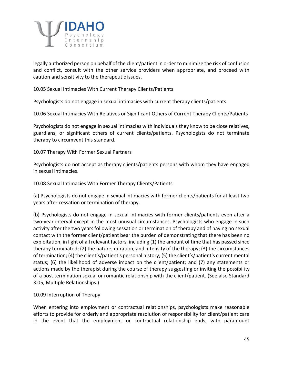

legally authorized person on behalf of the client/patient in order to minimize the risk of confusion and conflict, consult with the other service providers when appropriate, and proceed with caution and sensitivity to the therapeutic issues.

10.05 Sexual Intimacies With Current Therapy Clients/Patients

Psychologists do not engage in sexual intimacies with current therapy clients/patients.

10.06 Sexual Intimacies With Relatives or Significant Others of Current Therapy Clients/Patients

Psychologists do not engage in sexual intimacies with individuals they know to be close relatives, guardians, or significant others of current clients/patients. Psychologists do not terminate therapy to circumvent this standard.

10.07 Therapy With Former Sexual Partners

Psychologists do not accept as therapy clients/patients persons with whom they have engaged in sexual intimacies.

10.08 Sexual Intimacies With Former Therapy Clients/Patients

(a) Psychologists do not engage in sexual intimacies with former clients/patients for at least two years after cessation or termination of therapy.

(b) Psychologists do not engage in sexual intimacies with former clients/patients even after a two-year interval except in the most unusual circumstances. Psychologists who engage in such activity after the two years following cessation or termination of therapy and of having no sexual contact with the former client/patient bear the burden of demonstrating that there has been no exploitation, in light of all relevant factors, including (1) the amount of time that has passed since therapy terminated; (2) the nature, duration, and intensity of the therapy; (3) the circumstances of termination; (4) the client's/patient's personal history; (5) the client's/patient's current mental status; (6) the likelihood of adverse impact on the client/patient; and (7) any statements or actions made by the therapist during the course of therapy suggesting or inviting the possibility of a post termination sexual or romantic relationship with the client/patient. (See also Standard 3.05, Multiple Relationships.)

# 10.09 Interruption of Therapy

When entering into employment or contractual relationships, psychologists make reasonable efforts to provide for orderly and appropriate resolution of responsibility for client/patient care in the event that the employment or contractual relationship ends, with paramount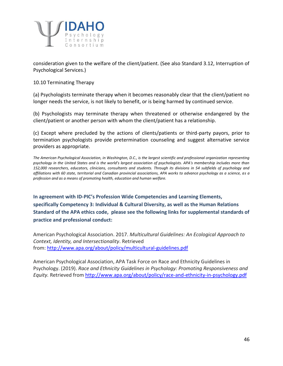

consideration given to the welfare of the client/patient. (See also Standard 3.12, Interruption of Psychological Services.)

10.10 Terminating Therapy

(a) Psychologists terminate therapy when it becomes reasonably clear that the client/patient no longer needs the service, is not likely to benefit, or is being harmed by continued service.

(b) Psychologists may terminate therapy when threatened or otherwise endangered by the client/patient or another person with whom the client/patient has a relationship.

(c) Except where precluded by the actions of clients/patients or third-party payors, prior to termination psychologists provide pretermination counseling and suggest alternative service providers as appropriate.

*The American Psychological Association, in Washington, D.C., is the largest scientific and professional organization representing psychology in the United States and is the world's largest association of psychologists. APA's membership includes more than 152,000 researchers, educators, clinicians, consultants and students. Through its divisions in 54 subfields of psychology and affiliations with 60 state, territorial and Canadian provincial associations, APA works to advance psychology as a science, as a profession and as a means of promoting health, education and human welfare.*

**In agreement with ID-PIC's Profession Wide Competencies and Learning Elements, specifically Competency 3: Individual & Cultural Diversity, as well as the Human Relations Standard of the APA ethics code, please see the following links for supplemental standards of practice and professional conduct:**

American Psychological Association. 2017. *Multicultural Guidelines: An Ecological Approach to Context, Identity, and Intersectionality*. Retrieved from: <http://www.apa.org/about/policy/multicultural-guidelines.pdf>

American Psychological Association, APA Task Force on Race and Ethnicity Guidelines in Psychology. (2019). *Race and Ethnicity Guidelines in Psychology: Promoting Responsiveness and Equity.* Retrieved from <http://www.apa.org/about/policy/race-and-ethnicity-in-psychology.pdf>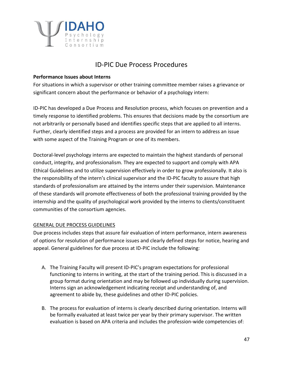

# ID-PIC Due Process Procedures

## **Performance Issues about Interns**

For situations in which a supervisor or other training committee member raises a grievance or significant concern about the performance or behavior of a psychology intern:

ID-PIC has developed a Due Process and Resolution process, which focuses on prevention and a timely response to identified problems. This ensures that decisions made by the consortium are not arbitrarily or personally based and identifies specific steps that are applied to all interns. Further, clearly identified steps and a process are provided for an intern to address an issue with some aspect of the Training Program or one of its members.

Doctoral-level psychology interns are expected to maintain the highest standards of personal conduct, integrity, and professionalism. They are expected to support and comply with APA Ethical Guidelines and to utilize supervision effectively in order to grow professionally. It also is the responsibility of the intern's clinical supervisor and the ID-PIC faculty to assure that high standards of professionalism are attained by the interns under their supervision. Maintenance of these standards will promote effectiveness of both the professional training provided by the internship and the quality of psychological work provided by the interns to clients/constituent communities of the consortium agencies.

# GENERAL DUE PROCESS GUIDELINES

Due process includes steps that assure fair evaluation of intern performance, intern awareness of options for resolution of performance issues and clearly defined steps for notice, hearing and appeal. General guidelines for due process at ID-PIC include the following:

- A. The Training Faculty will present ID-PIC's program expectations for professional functioning to interns in writing, at the start of the training period. This is discussed in a group format during orientation and may be followed up individually during supervision. Interns sign an acknowledgement indicating receipt and understanding of, and agreement to abide by, these guidelines and other ID-PIC policies.
- B. The process for evaluation of interns is clearly described during orientation. Interns will be formally evaluated at least twice per year by their primary supervisor. The written evaluation is based on APA criteria and includes the profession-wide competencies of: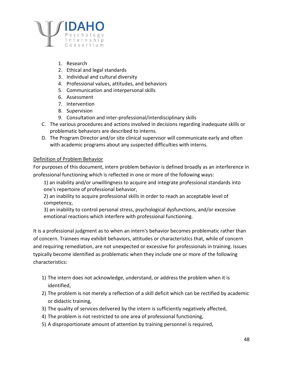

- 1. Research
- 2. Ethical and legal standards
- 3. Individual and cultural diversity
- 4. Professional values, attitudes, and behaviors
- 5. Communication and interpersonal skills
- 6. Assessment
- 7. Intervention
- 8. Supervision
- 9. Consultation and inter-professional/interdisciplinary skills
- C. The various procedures and actions involved in decisions regarding inadequate skills or problematic behaviors are described to interns.
- D. The Program Director and/or site clinical supervisor will communicate early and often with academic programs about any suspected difficulties with interns.

## Definition of Problem Behavior

For purposes of this document, intern problem behavior is defined broadly as an interference in professional functioning which is reflected in one or more of the following ways:

1) an inability and/or unwillingness to acquire and integrate professional standards into one's repertoire of professional behavior,

2) an inability to acquire professional skills in order to reach an acceptable level of competency,

3) an inability to control personal stress, psychological dysfunctions, and/or excessive emotional reactions which interfere with professional functioning.

It is a professional judgment as to when an intern's behavior becomes problematic rather than of concern. Trainees may exhibit behaviors, attitudes or characteristics that, while of concern and requiring remediation, are not unexpected or excessive for professionals in training. Issues typically become identified as problematic when they include one or more of the following characteristics:

- 1) The intern does not acknowledge, understand, or address the problem when it is identified,
- 2) The problem is not merely a reflection of a skill deficit which can be rectified by academic or didactic training,
- 3) The quality of services delivered by the intern is sufficiently negatively affected,
- 4) The problem is not restricted to one area of professional functioning,
- 5) A disproportionate amount of attention by training personnel is required,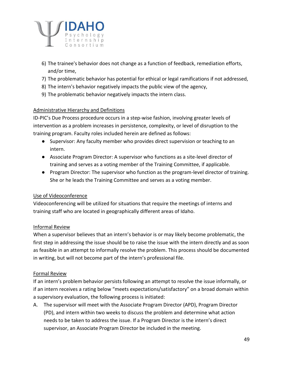

- 6) The trainee's behavior does not change as a function of feedback, remediation efforts, and/or time,
- 7) The problematic behavior has potential for ethical or legal ramifications if not addressed,
- 8) The intern's behavior negatively impacts the public view of the agency,
- 9) The problematic behavior negatively impacts the intern class.

## Administrative Hierarchy and Definitions

ID-PIC's Due Process procedure occurs in a step-wise fashion, involving greater levels of intervention as a problem increases in persistence, complexity, or level of disruption to the training program. Faculty roles included herein are defined as follows:

- Supervisor: Any faculty member who provides direct supervision or teaching to an intern.
- Associate Program Director: A supervisor who functions as a site-level director of training and serves as a voting member of the Training Committee, if applicable.
- Program Director: The supervisor who function as the program-level director of training. She or he leads the Training Committee and serves as a voting member.

# Use of Videoconference

Videoconferencing will be utilized for situations that require the meetings of interns and training staff who are located in geographically different areas of Idaho.

# Informal Review

When a supervisor believes that an intern's behavior is or may likely become problematic, the first step in addressing the issue should be to raise the issue with the intern directly and as soon as feasible in an attempt to informally resolve the problem. This process should be documented in writing, but will not become part of the intern's professional file.

## Formal Review

If an intern's problem behavior persists following an attempt to resolve the issue informally, or if an intern receives a rating below "meets expectations/satisfactory" on a broad domain within a supervisory evaluation, the following process is initiated:

A. The supervisor will meet with the Associate Program Director (APD), Program Director (PD), and intern within two weeks to discuss the problem and determine what action needs to be taken to address the issue. If a Program Director is the intern's direct supervisor, an Associate Program Director be included in the meeting.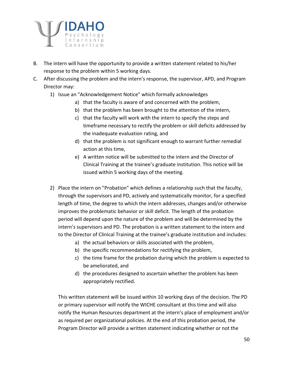

- B. The intern will have the opportunity to provide a written statement related to his/her response to the problem within 5 working days.
- C. After discussing the problem and the intern's response, the supervisor, APD, and Program Director may:
	- 1) Issue an "Acknowledgement Notice" which formally acknowledges
		- a) that the faculty is aware of and concerned with the problem,
		- b) that the problem has been brought to the attention of the intern,
		- c) that the faculty will work with the intern to specify the steps and timeframe necessary to rectify the problem or skill deficits addressed by the inadequate evaluation rating, and
		- d) that the problem is not significant enough to warrant further remedial action at this time,
		- e) A written notice will be submitted to the intern and the Director of Clinical Training at the trainee's graduate institution. This notice will be issued within 5 working days of the meeting.
	- 2) Place the intern on "Probation" which defines a relationship such that the faculty, through the supervisors and PD, actively and systematically monitor, for a specified length of time, the degree to which the intern addresses, changes and/or otherwise improves the problematic behavior or skill deficit. The length of the probation period will depend upon the nature of the problem and will be determined by the intern's supervisors and PD. The probation is a written statement to the intern and to the Director of Clinical Training at the trainee's graduate institution and includes:
		- a) the actual behaviors or skills associated with the problem,
		- b) the specific recommendations for rectifying the problem,
		- c) the time frame for the probation during which the problem is expected to be ameliorated, and
		- d) the procedures designed to ascertain whether the problem has been appropriately rectified.

This written statement will be issued within 10 working days of the decision. The PD or primary supervisor will notify the WICHE consultant at this time and will also notify the Human Resources department at the intern's place of employment and/or as required per organizational policies. At the end of this probation period, the Program Director will provide a written statement indicating whether or not the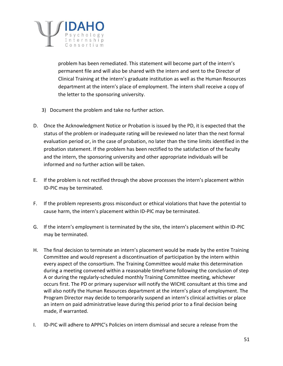

problem has been remediated. This statement will become part of the intern's permanent file and will also be shared with the intern and sent to the Director of Clinical Training at the intern's graduate institution as well as the Human Resources department at the intern's place of employment. The intern shall receive a copy of the letter to the sponsoring university.

- 3) Document the problem and take no further action.
- D. Once the Acknowledgment Notice or Probation is issued by the PD, it is expected that the status of the problem or inadequate rating will be reviewed no later than the next formal evaluation period or, in the case of probation, no later than the time limits identified in the probation statement. If the problem has been rectified to the satisfaction of the faculty and the intern, the sponsoring university and other appropriate individuals will be informed and no further action will be taken.
- E. If the problem is not rectified through the above processes the intern's placement within ID-PIC may be terminated.
- F. If the problem represents gross misconduct or ethical violations that have the potential to cause harm, the intern's placement within ID-PIC may be terminated.
- G. If the intern's employment is terminated by the site, the intern's placement within ID-PIC may be terminated.
- H. The final decision to terminate an intern's placement would be made by the entire Training Committee and would represent a discontinuation of participation by the intern within every aspect of the consortium. The Training Committee would make this determination during a meeting convened within a reasonable timeframe following the conclusion of step A or during the regularly-scheduled monthly Training Committee meeting, whichever occurs first. The PD or primary supervisor will notify the WICHE consultant at this time and will also notify the Human Resources department at the intern's place of employment. The Program Director may decide to temporarily suspend an intern's clinical activities or place an intern on paid administrative leave during this period prior to a final decision being made, if warranted.
- I. ID-PIC will adhere to APPIC's Policies on intern dismissal and secure a release from the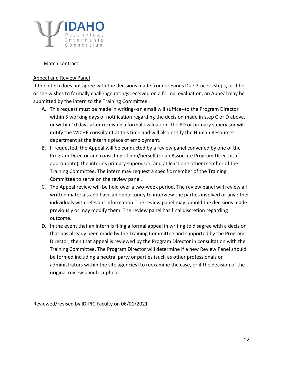

Match contract.

## Appeal and Review Panel

If the intern does not agree with the decisions made from previous Due Process steps, or if he or she wishes to formally challenge ratings received on a formal evaluation, an Appeal may be submitted by the intern to the Training Committee.

- A. This request must be made in writing--an email will suffice--to the Program Director within 5 working days of notification regarding the decision made in step C or D above, or within 10 days after receiving a formal evaluation. The PD or primary supervisor will notify the WICHE consultant at this time and will also notify the Human Resources department at the intern's place of employment.
- B. If requested, the Appeal will be conducted by a review panel convened by one of the Program Director and consisting of him/herself (or an Associate Program Director, if appropriate), the intern's primary supervisor, and at least one other member of the Training Committee. The intern may request a specific member of the Training Committee to serve on the review panel.
- C. The Appeal review will be held over a two-week period. The review panel will review all written materials and have an opportunity to interview the parties involved or any other individuals with relevant information. The review panel may uphold the decisions made previously or may modify them. The review panel has final discretion regarding outcome.
- D. In the event that an intern is filing a formal appeal in writing to disagree with a decision that has already been made by the Training Committee and supported by the Program Director, then that appeal is reviewed by the Program Director in consultation with the Training Committee. The Program Director will determine if a new Review Panel should be formed including a neutral party or parties (such as other professionals or administrators within the site agencies) to reexamine the case, or if the decision of the original review panel is upheld.

Reviewed/revised by ID-PIC Faculty on 06/01/2021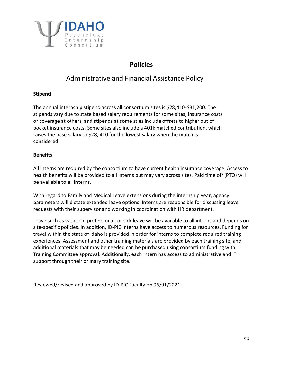

# **Policies**

# Administrative and Financial Assistance Policy

# **Stipend**

The annual internship stipend across all consortium sites is \$28,410-\$31,200. The stipends vary due to state based salary requirements for some sites, insurance costs or coverage at others, and stipends at some sties include offsets to higher out of pocket insurance costs. Some sites also include a 401k matched contribution, which raises the base salary to \$28, 410 for the lowest salary when the match is considered.

# **Benefits**

All interns are required by the consortium to have current health insurance coverage. Access to health benefits will be provided to all interns but may vary across sites. Paid time off (PTO) will be available to all interns.

With regard to Family and Medical Leave extensions during the internship year, agency parameters will dictate extended leave options. Interns are responsible for discussing leave requests with their supervisor and working in coordination with HR department.

Leave such as vacation, professional, or sick leave will be available to all interns and depends on site-specific policies. In addition, ID-PIC interns have access to numerous resources. Funding for travel within the state of Idaho is provided in order for interns to complete required training experiences. Assessment and other training materials are provided by each training site, and additional materials that may be needed can be purchased using consortium funding with Training Committee approval. Additionally, each intern has access to administrative and IT support through their primary training site.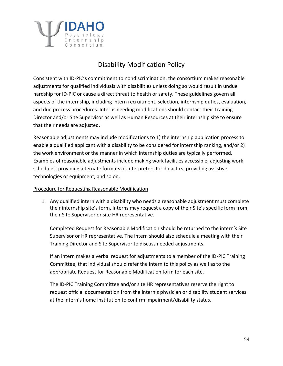

# Disability Modification Policy

Consistent with ID-PIC's commitment to nondiscrimination, the consortium makes reasonable adjustments for qualified individuals with disabilities unless doing so would result in undue hardship for ID-PIC or cause a direct threat to health or safety. These guidelines govern all aspects of the internship, including intern recruitment, selection, internship duties, evaluation, and due process procedures. Interns needing modifications should contact their Training Director and/or Site Supervisor as well as Human Resources at their internship site to ensure that their needs are adjusted.

Reasonable adjustments may include modifications to 1) the internship application process to enable a qualified applicant with a disability to be considered for internship ranking, and/or 2) the work environment or the manner in which internship duties are typically performed. Examples of reasonable adjustments include making work facilities accessible, adjusting work schedules, providing alternate formats or interpreters for didactics, providing assistive technologies or equipment, and so on.

# Procedure for Requesting Reasonable Modification

1. Any qualified intern with a disability who needs a reasonable adjustment must complete their internship site's form. Interns may request a copy of their Site's specific form from their Site Supervisor or site HR representative.

Completed Request for Reasonable Modification should be returned to the intern's Site Supervisor or HR representative. The intern should also schedule a meeting with their Training Director and Site Supervisor to discuss needed adjustments.

If an intern makes a verbal request for adjustments to a member of the ID-PIC Training Committee, that individual should refer the intern to this policy as well as to the appropriate Request for Reasonable Modification form for each site.

The ID-PIC Training Committee and/or site HR representatives reserve the right to request official documentation from the intern's physician or disability student services at the intern's home institution to confirm impairment/disability status.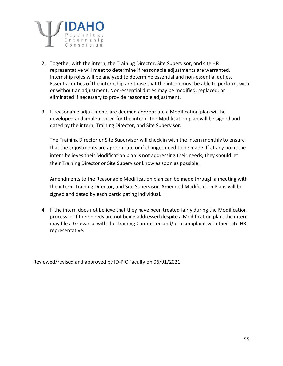

- 2. Together with the intern, the Training Director, Site Supervisor, and site HR representative will meet to determine if reasonable adjustments are warranted. Internship roles will be analyzed to determine essential and non-essential duties. Essential duties of the internship are those that the intern must be able to perform, with or without an adjustment. Non-essential duties may be modified, replaced, or eliminated if necessary to provide reasonable adjustment.
- 3. If reasonable adjustments are deemed appropriate a Modification plan will be developed and implemented for the intern. The Modification plan will be signed and dated by the intern, Training Director, and Site Supervisor.

The Training Director or Site Supervisor will check in with the intern monthly to ensure that the adjustments are appropriate or if changes need to be made. If at any point the intern believes their Modification plan is not addressing their needs, they should let their Training Director or Site Supervisor know as soon as possible.

Amendments to the Reasonable Modification plan can be made through a meeting with the intern, Training Director, and Site Supervisor. Amended Modification Plans will be signed and dated by each participating individual.

4. If the intern does not believe that they have been treated fairly during the Modification process or if their needs are not being addressed despite a Modification plan, the intern may file a Grievance with the Training Committee and/or a complaint with their site HR representative.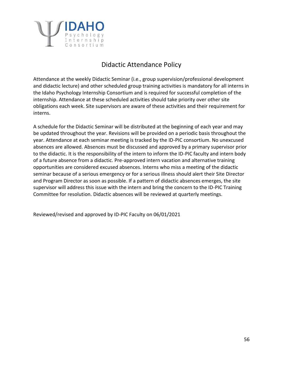

# Didactic Attendance Policy

Attendance at the weekly Didactic Seminar (i.e., group supervision/professional development and didactic lecture) and other scheduled group training activities is mandatory for all interns in the Idaho Psychology Internship Consortium and is required for successful completion of the internship. Attendance at these scheduled activities should take priority over other site obligations each week. Site supervisors are aware of these activities and their requirement for interns.

A schedule for the Didactic Seminar will be distributed at the beginning of each year and may be updated throughout the year. Revisions will be provided on a periodic basis throughout the year. Attendance at each seminar meeting is tracked by the ID-PIC consortium. No unexcused absences are allowed. Absences must be discussed and approved by a primary supervisor prior to the didactic. It is the responsibility of the intern to inform the ID-PIC faculty and intern body of a future absence from a didactic. Pre-approved intern vacation and alternative training opportunities are considered excused absences. Interns who miss a meeting of the didactic seminar because of a serious emergency or for a serious illness should alert their Site Director and Program Director as soon as possible. If a pattern of didactic absences emerges, the site supervisor will address this issue with the intern and bring the concern to the ID-PIC Training Committee for resolution. Didactic absences will be reviewed at quarterly meetings.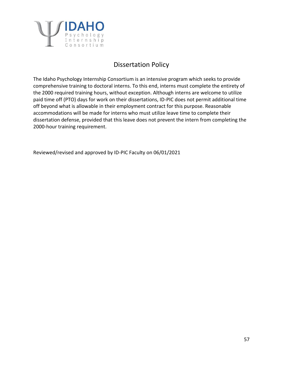

# Dissertation Policy

The Idaho Psychology Internship Consortium is an intensive program which seeks to provide comprehensive training to doctoral interns. To this end, interns must complete the entirety of the 2000 required training hours, without exception. Although interns are welcome to utilize paid time off (PTO) days for work on their dissertations, ID-PIC does not permit additional time off beyond what is allowable in their employment contract for this purpose. Reasonable accommodations will be made for interns who must utilize leave time to complete their dissertation defense, provided that this leave does not prevent the intern from completing the 2000-hour training requirement.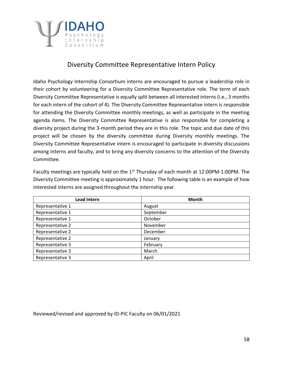# Diversity Committee Representative Intern Policy

Idaho Psychology Internship Consortium interns are encouraged to pursue a leadership role in their cohort by volunteering for a Diversity Committee Representative role. The term of each Diversity Committee Representative is equally split between all interested interns (i.e., 3 months for each intern of the cohort of 4). The Diversity Committee Representative intern is responsible for attending the Diversity Committee monthly meetings, as well as participate in the meeting agenda items. The Diversity Committee Representative is also responsible for completing a diversity project during the 3-month period they are in this role. The topic and due date of this project will be chosen by the diversity committee during Diversity monthly meetings. The Diversity Committee Representative intern is encouraged to participate in diversity discussions among interns and faculty, and to bring any diversity concerns to the attention of the Diversity Committee.

Faculty meetings are typically held on the 1<sup>st</sup> Thursday of each month at 12:00PM-1:00PM. The Diversity Committee meeting is approximately 1 hour. The following table is an example of how interested interns are assigned throughout the internship year.

| <b>Lead Intern</b> | <b>Month</b> |
|--------------------|--------------|
| Representative 1   | August       |
| Representative 1   | September    |
| Representative 1   | October      |
| Representative 2   | November     |
| Representative 2   | December     |
| Representative 2   | January      |
| Representative 3   | February     |
| Representative 3   | March        |
| Representative 3   | April        |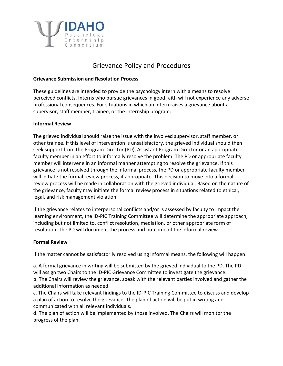

# Grievance Policy and Procedures

## **Grievance Submission and Resolution Process**

These guidelines are intended to provide the psychology intern with a means to resolve perceived conflicts. Interns who pursue grievances in good faith will not experience any adverse professional consequences. For situations in which an intern raises a grievance about a supervisor, staff member, trainee, or the internship program:

## **Informal Review**

The grieved individual should raise the issue with the involved supervisor, staff member, or other trainee. If this level of intervention is unsatisfactory, the grieved individual should then seek support from the Program Director (PD), Assistant Program Director or an appropriate faculty member in an effort to informally resolve the problem. The PD or appropriate faculty member will intervene in an informal manner attempting to resolve the grievance. If this grievance is not resolved through the informal process, the PD or appropriate faculty member will initiate the formal review process, if appropriate. This decision to move into a formal review process will be made in collaboration with the grieved individual. Based on the nature of the grievance, faculty may initiate the formal review process in situations related to ethical, legal, and risk management violation.

If the grievance relates to interpersonal conflicts and/or is assessed by faculty to impact the learning environment, the ID-PIC Training Committee will determine the appropriate approach, including but not limited to, conflict resolution, mediation, or other appropriate form of resolution. The PD will document the process and outcome of the informal review.

# **Formal Review**

If the matter cannot be satisfactorily resolved using informal means, the following will happen:

a. A formal grievance in writing will be submitted by the grieved individual to the PD. The PD will assign two Chairs to the ID-PIC Grievance Committee to investigate the grievance. b. The Chairs will review the grievance, speak with the relevant parties involved and gather the additional information as needed.

c. The Chairs will take relevant findings to the ID-PIC Training Committee to discuss and develop a plan of action to resolve the grievance. The plan of action will be put in writing and communicated with all relevant individuals.

d. The plan of action will be implemented by those involved. The Chairs will monitor the progress of the plan.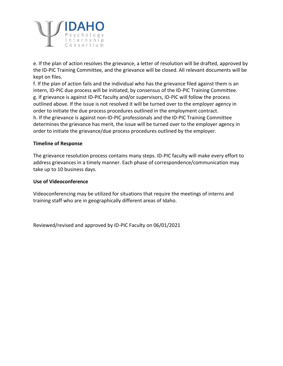

e. If the plan of action resolves the grievance, a letter of resolution will be drafted, approved by the ID-PIC Training Committee, and the grievance will be closed. All relevant documents will be kept on files.

f. If the plan of action fails and the individual who has the grievance filed against them is an intern, ID-PIC due process will be initiated, by consensus of the ID-PIC Training Committee. g. If grievance is against ID-PIC faculty and/or supervisors, ID-PIC will follow the process outlined above. If the issue is not resolved it will be turned over to the employer agency in order to initiate the due process procedures outlined in the employment contract. h. If the grievance is against non-ID-PIC professionals and the ID-PIC Training Committee determines the grievance has merit, the issue will be turned over to the employer agency in order to initiate the grievance/due process procedures outlined by the employer*.* 

## **Timeline of Response**

The grievance resolution process contains many steps. ID-PIC faculty will make every effort to address grievances in a timely manner. Each phase of correspondence/communication may take up to 10 business days.

## **Use of Videoconference**

Videoconferencing may be utilized for situations that require the meetings of interns and training staff who are in geographically different areas of Idaho.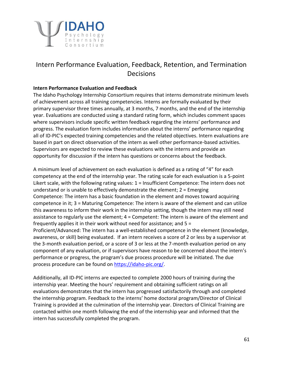

# Intern Performance Evaluation, Feedback, Retention, and Termination Decisions

## **Intern Performance Evaluation and Feedback**

The Idaho Psychology Internship Consortium requires that interns demonstrate minimum levels of achievement across all training competencies. Interns are formally evaluated by their primary supervisor three times annually, at 3 months, 7 months, and the end of the internship year. Evaluations are conducted using a standard rating form, which includes comment spaces where supervisors include specific written feedback regarding the interns' performance and progress. The evaluation form includes information about the interns' performance regarding all of ID-PIC's expected training competencies and the related objectives. Intern evaluations are based in part on direct observation of the intern as well other performance-based activities. Supervisors are expected to review these evaluations with the interns and provide an opportunity for discussion if the intern has questions or concerns about the feedback.

A minimum level of achievement on each evaluation is defined as a rating of "4" for each competency at the end of the internship year. The rating scale for each evaluation is a 5-point Likert scale, with the following rating values: 1 = Insufficient Competence: The intern does not understand or is unable to effectively demonstrate the element; 2 = Emerging Competence: The intern has a basic foundation in the element and moves toward acquiring competence in it; 3 = Maturing Competence: The intern is aware of the element and can utilize this awareness to inform their work in the internship setting, though the intern may still need assistance to regularly use the element; 4 = Competent: The intern is aware of the element and frequently applies it in their work without need for assistance; and 5 = Proficient/Advanced: The intern has a well-established competence in the element (knowledge, awareness, or skill) being evaluated. If an intern receives a score of 2 or less by a supervisor at the 3-month evaluation period, or a score of 3 or less at the 7-month evaluation period on any component of any evaluation, or if supervisors have reason to be concerned about the intern's performance or progress, the program's due process procedure will be initiated. The due process procedure can be found on [https://idaho-pic.org/.](https://idaho-pic.org/)

Additionally, all ID-PIC interns are expected to complete 2000 hours of training during the internship year. Meeting the hours' requirement and obtaining sufficient ratings on all evaluations demonstrates that the intern has progressed satisfactorily through and completed the internship program. Feedback to the interns' home doctoral program/Director of Clinical Training is provided at the culmination of the internship year. Directors of Clinical Training are contacted within one month following the end of the internship year and informed that the intern has successfully completed the program.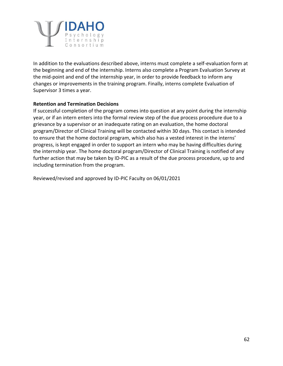

In addition to the evaluations described above, interns must complete a self-evaluation form at the beginning and end of the internship. Interns also complete a Program Evaluation Survey at the mid-point and end of the internship year, in order to provide feedback to inform any changes or improvements in the training program. Finally, interns complete Evaluation of Supervisor 3 times a year.

## **Retention and Termination Decisions**

If successful completion of the program comes into question at any point during the internship year, or if an intern enters into the formal review step of the due process procedure due to a grievance by a supervisor or an inadequate rating on an evaluation, the home doctoral program/Director of Clinical Training will be contacted within 30 days. This contact is intended to ensure that the home doctoral program, which also has a vested interest in the interns' progress, is kept engaged in order to support an intern who may be having difficulties during the internship year. The home doctoral program/Director of Clinical Training is notified of any further action that may be taken by ID-PIC as a result of the due process procedure, up to and including termination from the program.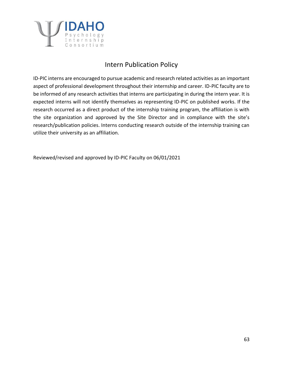

# Intern Publication Policy

ID-PIC interns are encouraged to pursue academic and research related activities as an important aspect of professional development throughout their internship and career. ID-PIC faculty are to be informed of any research activities that interns are participating in during the intern year. It is expected interns will not identify themselves as representing ID-PIC on published works. If the research occurred as a direct product of the internship training program, the affiliation is with the site organization and approved by the Site Director and in compliance with the site's research/publication policies. Interns conducting research outside of the internship training can utilize their university as an affiliation.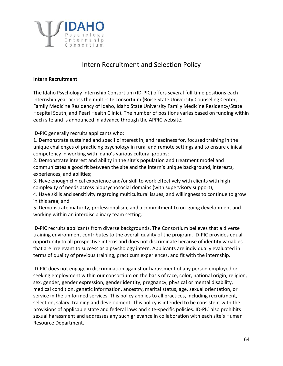

# Intern Recruitment and Selection Policy

## **Intern Recruitment**

The Idaho Psychology Internship Consortium (ID-PIC) offers several full-time positions each internship year across the multi-site consortium (Boise State University Counseling Center, Family Medicine Residency of Idaho, Idaho State University Family Medicine Residency/State Hospital South, and Pearl Health Clinic). The number of positions varies based on funding within each site and is announced in advance through the APPIC website.

ID-PIC generally recruits applicants who:

1. Demonstrate sustained and specific interest in, and readiness for, focused training in the unique challenges of practicing psychology in rural and remote settings and to ensure clinical competency in working with Idaho's various cultural groups;

2. Demonstrate interest and ability in the site's population and treatment model and communicates a good fit between the site and the intern's unique background, interests, experiences, and abilities;

3. Have enough clinical experience and/or skill to work effectively with clients with high complexity of needs across biopsychosocial domains (with supervisory support);

4. Have skills and sensitivity regarding multicultural issues, and willingness to continue to grow in this area; and

5. Demonstrate maturity, professionalism, and a commitment to on-going development and working within an interdisciplinary team setting.

ID-PIC recruits applicants from diverse backgrounds. The Consortium believes that a diverse training environment contributes to the overall quality of the program. ID-PIC provides equal opportunity to all prospective interns and does not discriminate because of identity variables that are irrelevant to success as a psychology intern. Applicants are individually evaluated in terms of quality of previous training, practicum experiences, and fit with the internship.

ID-PIC does not engage in discrimination against or harassment of any person employed or seeking employment within our consortium on the basis of race, color, national origin, religion, sex, gender, gender expression, gender identity, pregnancy, physical or mental disability, medical condition, genetic information, ancestry, marital status, age, sexual orientation, or service in the uniformed services. This policy applies to all practices, including recruitment, selection, salary, training and development. This policy is intended to be consistent with the provisions of applicable state and federal laws and site-specific policies. ID-PIC also prohibits sexual harassment and addresses any such grievance in collaboration with each site's Human Resource Department.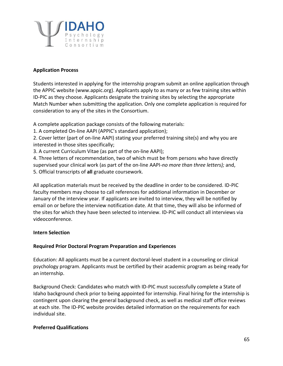# **Application Process**

Students interested in applying for the internship program submit an online application through the APPIC website (www.appic.org). Applicants apply to as many or as few training sites within ID-PIC as they choose. Applicants designate the training sites by selecting the appropriate Match Number when submitting the application. Only one complete application is required for consideration to any of the sites in the Consortium.

A complete application package consists of the following materials:

1. A completed On‐line AAPI (APPIC's standard application);

2. Cover letter (part of on‐line AAPI) stating your preferred training site(s) and why you are interested in those sites specifically;

3. A current Curriculum Vitae (as part of the on‐line AAPI);

4. Three letters of recommendation, two of which must be from persons who have directly supervised your clinical work (as part of the on‐line AAPI-*no more than three letters);* and, 5. Official transcripts of **all** graduate coursework.

All application materials must be received by the deadline in order to be considered. ID-PIC faculty members may choose to call references for additional information in December or January of the interview year. If applicants are invited to interview, they will be notified by email on or before the interview notification date. At that time, they will also be informed of the sites for which they have been selected to interview. ID-PIC will conduct all interviews via videoconference.

# **Intern Selection**

# **Required Prior Doctoral Program Preparation and Experiences**

Education: All applicants must be a current doctoral-level student in a counseling or clinical psychology program. Applicants must be certified by their academic program as being ready for an internship.

Background Check: Candidates who match with ID-PIC must successfully complete a State of Idaho background check prior to being appointed for internship. Final hiring for the internship is contingent upon clearing the general background check, as well as medical staff office reviews at each site. The ID-PIC website provides detailed information on the requirements for each individual site.

# **Preferred Qualifications**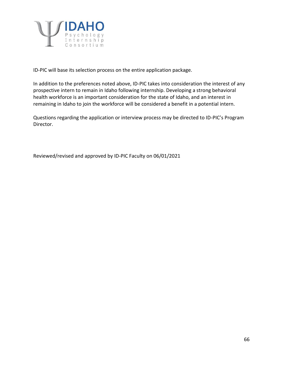

ID-PIC will base its selection process on the entire application package.

In addition to the preferences noted above, ID-PIC takes into consideration the interest of any prospective intern to remain in Idaho following internship. Developing a strong behavioral health workforce is an important consideration for the state of Idaho, and an interest in remaining in Idaho to join the workforce will be considered a benefit in a potential intern.

Questions regarding the application or interview process may be directed to ID-PIC's Program Director.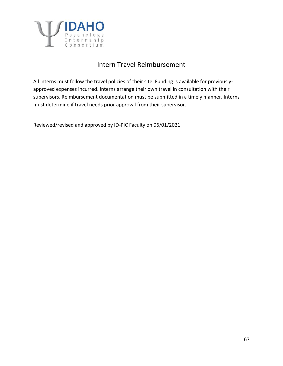

# Intern Travel Reimbursement

All interns must follow the travel policies of their site. Funding is available for previouslyapproved expenses incurred. Interns arrange their own travel in consultation with their supervisors. Reimbursement documentation must be submitted in a timely manner. Interns must determine if travel needs prior approval from their supervisor.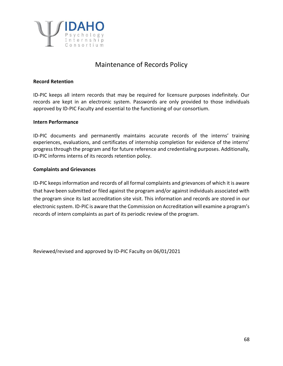

# Maintenance of Records Policy

## **Record Retention**

ID-PIC keeps all intern records that may be required for licensure purposes indefinitely. Our records are kept in an electronic system. Passwords are only provided to those individuals approved by ID-PIC Faculty and essential to the functioning of our consortium.

### **Intern Performance**

ID-PIC documents and permanently maintains accurate records of the interns' training experiences, evaluations, and certificates of internship completion for evidence of the interns' progress through the program and for future reference and credentialing purposes. Additionally, ID-PIC informs interns of its records retention policy.

## **Complaints and Grievances**

ID-PIC keeps information and records of all formal complaints and grievances of which it is aware that have been submitted or filed against the program and/or against individuals associated with the program since its last accreditation site visit. This information and records are stored in our electronic system. ID-PIC is aware that the Commission on Accreditation will examine a program's records of intern complaints as part of its periodic review of the program.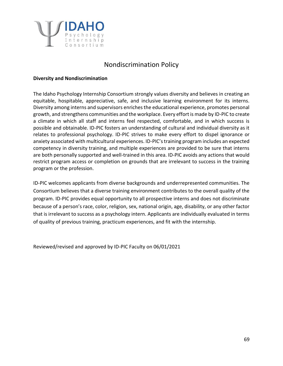

# Nondiscrimination Policy

## **Diversity and Nondiscrimination**

The Idaho Psychology Internship Consortium strongly values diversity and believes in creating an equitable, hospitable, appreciative, safe, and inclusive learning environment for its interns. Diversity among interns and supervisors enriches the educational experience, promotes personal growth, and strengthens communities and the workplace. Every effort is made by ID-PIC to create a climate in which all staff and interns feel respected, comfortable, and in which success is possible and obtainable. ID-PIC fosters an understanding of cultural and individual diversity as it relates to professional psychology. ID-PIC strives to make every effort to dispel ignorance or anxiety associated with multicultural experiences. ID-PIC's training program includes an expected competency in diversity training, and multiple experiences are provided to be sure that interns are both personally supported and well-trained in this area. ID-PIC avoids any actions that would restrict program access or completion on grounds that are irrelevant to success in the training program or the profession.

ID-PIC welcomes applicants from diverse backgrounds and underrepresented communities. The Consortium believes that a diverse training environment contributes to the overall quality of the program. ID-PIC provides equal opportunity to all prospective interns and does not discriminate because of a person's race, color, religion, sex, national origin, age, disability, or any other factor that is irrelevant to success as a psychology intern. Applicants are individually evaluated in terms of quality of previous training, practicum experiences, and fit with the internship.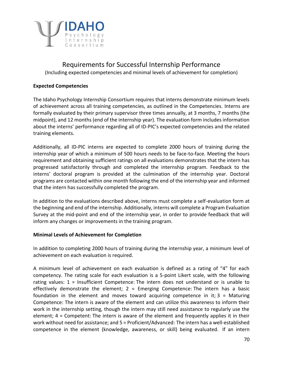

# Requirements for Successful Internship Performance

(Including expected competencies and minimal levels of achievement for completion)

# **Expected Competencies**

The Idaho Psychology Internship Consortium requires that interns demonstrate minimum levels of achievement across all training competencies, as outlined in the Competencies. Interns are formally evaluated by their primary supervisor three times annually, at 3 months, 7 months (the midpoint), and 12 months (end of the internship year). The evaluation form includes information about the interns' performance regarding all of ID-PIC's expected competencies and the related training elements.

Additionally, all ID-PIC interns are expected to complete 2000 hours of training during the internship year of which a minimum of 500 hours needs to be face-to-face. Meeting the hours requirement and obtaining sufficient ratings on all evaluations demonstrates that the intern has progressed satisfactorily through and completed the internship program. Feedback to the interns' doctoral program is provided at the culmination of the internship year. Doctoral programs are contacted within one month following the end of the internship year and informed that the intern has successfully completed the program.

In addition to the evaluations described above, interns must complete a self-evaluation form at the beginning and end of the internship. Additionally, interns will complete a Program Evaluation Survey at the mid-point and end of the internship year, in order to provide feedback that will inform any changes or improvements in the training program.

# **Minimal Levels of Achievement for Completion**

In addition to completing 2000 hours of training during the internship year, a minimum level of achievement on each evaluation is required.

A minimum level of achievement on each evaluation is defined as a rating of "4" for each competency. The rating scale for each evaluation is a 5-point Likert scale, with the following rating values: 1 = Insufficient Competence: The intern does not understand or is unable to effectively demonstrate the element; 2 = Emerging Competence: The intern has a basic foundation in the element and moves toward acquiring competence in it;  $3 =$  Maturing Competence: The intern is aware of the element and can utilize this awareness to inform their work in the internship setting, though the intern may still need assistance to regularly use the element; 4 = Competent: The intern is aware of the element and frequently applies it in their work without need for assistance; and 5 = Proficient/Advanced: The intern has a well-established competence in the element (knowledge, awareness, or skill) being evaluated. If an intern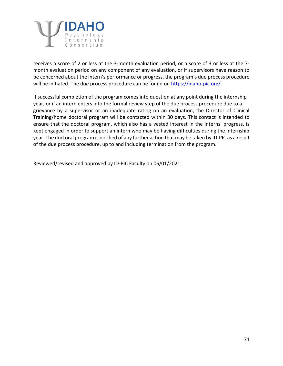

receives a score of 2 or less at the 3-month evaluation period, or a score of 3 or less at the 7 month evaluation period on any component of any evaluation, or if supervisors have reason to be concerned about the intern's performance or progress, the program's due process procedure will be initiated. The due process procedure can be found on [https://idaho-pic.org/.](https://idaho-pic.org/)

If successful completion of the program comes into question at any point during the internship year, or if an intern enters into the formal review step of the due process procedure due to a grievance by a supervisor or an inadequate rating on an evaluation, the Director of Clinical Training/home doctoral program will be contacted within 30 days. This contact is intended to ensure that the doctoral program, which also has a vested interest in the interns' progress, is kept engaged in order to support an intern who may be having difficulties during the internship year. The doctoral program is notified of any further action that may be taken by ID-PIC as a result of the due process procedure, up to and including termination from the program.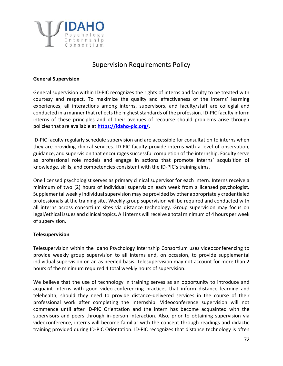

# Supervision Requirements Policy

## **General Supervision**

General supervision within ID-PIC recognizes the rights of interns and faculty to be treated with courtesy and respect. To maximize the quality and effectiveness of the interns' learning experiences, all interactions among interns, supervisors, and faculty/staff are collegial and conducted in a manner that reflects the highest standards of the profession. ID-PIC faculty inform interns of these principles and of their avenues of recourse should problems arise through policies that are available at **<https://idaho-pic.org/>**.

ID-PIC faculty regularly schedule supervision and are accessible for consultation to interns when they are providing clinical services. ID-PIC faculty provide interns with a level of observation, guidance, and supervision that encourages successful completion of the internship. Faculty serve as professional role models and engage in actions that promote interns' acquisition of knowledge, skills, and competencies consistent with the ID-PIC's training aims.

One licensed psychologist serves as primary clinical supervisor for each intern. Interns receive a minimum of two (2) hours of individual supervision each week from a licensed psychologist. Supplemental weekly individual supervision may be provided by other appropriately credentialed professionals at the training site. Weekly group supervision will be required and conducted with all interns across consortium sites via distance technology. Group supervision may focus on legal/ethical issues and clinical topics. All interns will receive a total minimum of 4 hours per week of supervision.

## **Telesupervision**

Telesupervision within the Idaho Psychology Internship Consortium uses videoconferencing to provide weekly group supervision to all interns and, on occasion, to provide supplemental individual supervision on an as needed basis. Telesupervision may not account for more than 2 hours of the minimum required 4 total weekly hours of supervision.

We believe that the use of technology in training serves as an opportunity to introduce and acquaint interns with good video-conferencing practices that inform distance learning and telehealth, should they need to provide distance-delivered services in the course of their professional work after completing the Internship. Videoconference supervision will not commence until after ID-PIC Orientation and the intern has become acquainted with the supervisors and peers through in-person interaction. Also, prior to obtaining supervision via videoconference, interns will become familiar with the concept through readings and didactic training provided during ID-PIC Orientation. ID-PIC recognizes that distance technology is often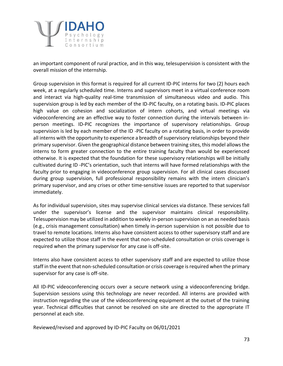

an important component of rural practice, and in this way, telesupervision is consistent with the overall mission of the internship.

Group supervision in this format is required for all current ID-PIC interns for two (2) hours each week, at a regularly scheduled time. Interns and supervisors meet in a virtual conference room and interact via high-quality real-time transmission of simultaneous video and audio. This supervision group is led by each member of the ID-PIC faculty, on a rotating basis. ID-PIC places high value on cohesion and socialization of intern cohorts, and virtual meetings via videoconferencing are an effective way to foster connection during the intervals between inperson meetings. ID-PIC recognizes the importance of supervisory relationships. Group supervision is led by each member of the ID -PIC faculty on a rotating basis, in order to provide all interns with the opportunity to experience a breadth of supervisory relationships beyond their primary supervisor. Given the geographical distance between training sites, this model allows the interns to form greater connection to the entire training faculty than would be experienced otherwise. It is expected that the foundation for these supervisory relationships will be initially cultivated during ID -PIC's orientation, such that interns will have formed relationships with the faculty prior to engaging in videoconference group supervision. For all clinical cases discussed during group supervision, full professional responsibility remains with the intern clinician's primary supervisor, and any crises or other time-sensitive issues are reported to that supervisor immediately.

As for individual supervision, sites may supervise clinical services via distance. These services fall under the supervisor's license and the supervisor maintains clinical responsibility. Telesupervision may be utilized in addition to weekly in-person supervision on an as needed basis (e.g., crisis management consultation) when timely in-person supervision is not possible due to travel to remote locations. Interns also have consistent access to other supervisory staff and are expected to utilize those staff in the event that non-scheduled consultation or crisis coverage is required when the primary supervisor for any case is off-site.

Interns also have consistent access to other supervisory staff and are expected to utilize those staff in the event that non-scheduled consultation or crisis coverage is required when the primary supervisor for any case is off-site.

All ID-PIC videoconferencing occurs over a secure network using a videoconferencing bridge. Supervision sessions using this technology are never recorded. All interns are provided with instruction regarding the use of the videoconferencing equipment at the outset of the training year. Technical difficulties that cannot be resolved on site are directed to the appropriate IT personnel at each site.

Reviewed/revised and approved by ID-PIC Faculty on 06/01/2021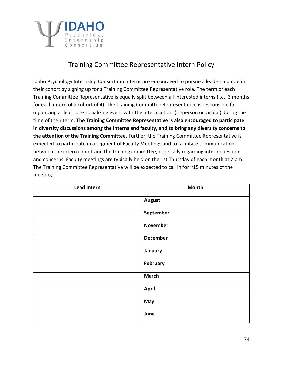# Training Committee Representative Intern Policy

Idaho Psychology Internship Consortium interns are encouraged to pursue a leadership role in their cohort by signing up for a Training Committee Representative role. The term of each Training Committee Representative is equally split between all interested interns (i.e., 3 months for each intern of a cohort of 4). The Training Committee Representative is responsible for organizing at least one socializing event with the intern cohort (in-person or virtual) during the time of their term. **The Training Committee Representative is also encouraged to participate in diversity discussions among the interns and faculty, and to bring any diversity concerns to the attention of the Training Committee.** Further, the Training Committee Representative is expected to participate in a segment of Faculty Meetings and to facilitate communication between the intern cohort and the training committee, especially regarding intern questions and concerns. Faculty meetings are typically held on the 1st Thursday of each month at 2 pm. The Training Committee Representative will be expected to call in for ~15 minutes of the meeting.

| <b>Lead Intern</b> | <b>Month</b>    |
|--------------------|-----------------|
|                    | <b>August</b>   |
|                    | September       |
|                    | <b>November</b> |
|                    | <b>December</b> |
|                    | January         |
|                    | February        |
|                    | <b>March</b>    |
|                    | <b>April</b>    |
|                    | May             |
|                    | June            |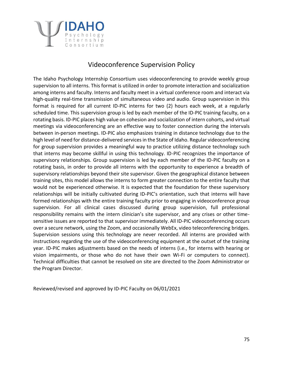# Videoconference Supervision Policy

The Idaho Psychology Internship Consortium uses videoconferencing to provide weekly group supervision to all interns. This format is utilized in order to promote interaction and socialization among interns and faculty. Interns and faculty meet in a virtual conference room and interact via high-quality real-time transmission of simultaneous video and audio. Group supervision in this format is required for all current ID-PIC interns for two (2) hours each week, at a regularly scheduled time. This supervision group is led by each member of the ID-PIC training faculty, on a rotating basis. ID-PIC places high value on cohesion and socialization of intern cohorts, and virtual meetings via videoconferencing are an effective way to foster connection during the intervals between in-person meetings. ID-PIC also emphasizes training in distance technology due to the high level of need for distance-delivered services in the State of Idaho. Regular videoconferencing for group supervision provides a meaningful way to practice utilizing distance technology such that interns may become skillful in using this technology. ID-PIC recognizes the importance of supervisory relationships. Group supervision is led by each member of the ID-PIC faculty on a rotating basis, in order to provide all interns with the opportunity to experience a breadth of supervisory relationships beyond their site supervisor. Given the geographical distance between training sites, this model allows the interns to form greater connection to the entire faculty that would not be experienced otherwise. It is expected that the foundation for these supervisory relationships will be initially cultivated during ID-PIC's orientation, such that interns will have formed relationships with the entire training faculty prior to engaging in videoconference group supervision. For all clinical cases discussed during group supervision, full professional responsibility remains with the intern clinician's site supervisor, and any crises or other timesensitive issues are reported to that supervisor immediately. All ID-PIC videoconferencing occurs over a secure network, using the Zoom, and occasionally WebEx, video teleconferencing bridges. Supervision sessions using this technology are never recorded. All interns are provided with instructions regarding the use of the videoconferencing equipment at the outset of the training year. ID-PIC makes adjustments based on the needs of interns (i.e., for interns with hearing or vision impairments, or those who do not have their own Wi-Fi or computers to connect). Technical difficulties that cannot be resolved on site are directed to the Zoom Administrator or the Program Director.

Reviewed/revised and approved by ID-PIC Faculty on 06/01/2021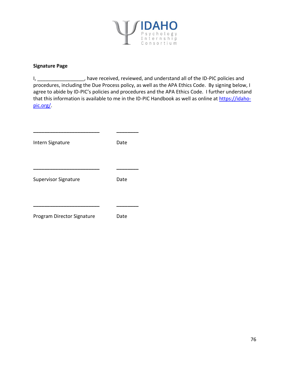

### **Signature Page**

I, \_\_\_\_\_\_\_\_\_\_\_\_\_\_\_\_, have received, reviewed, and understand all of the ID-PIC policies and procedures, including the Due Process policy, as well as the APA Ethics Code. By signing below, I agree to abide by ID-PIC's policies and procedures and the APA Ethics Code. I further understand that this information is available to me in the ID-PIC Handbook as well as online at [https://idaho](https://idaho-pic.org/)[pic.org/.](https://idaho-pic.org/)

| Intern Signature            | Date |
|-----------------------------|------|
| <b>Supervisor Signature</b> | Date |
| Program Director Signature  | Date |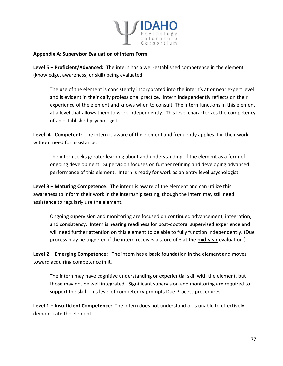

#### **Appendix A: Supervisor Evaluation of Intern Form**

**Level 5 – Proficient/Advanced:** The intern has a well-established competence in the element (knowledge, awareness, or skill) being evaluated.

The use of the element is consistently incorporated into the intern's at or near expert level and is evident in their daily professional practice. Intern independently reflects on their experience of the element and knows when to consult. The intern functions in this element at a level that allows them to work independently. This level characterizes the competency of an established psychologist.

**Level 4 - Competent:** The intern is aware of the element and frequently applies it in their work without need for assistance.

The intern seeks greater learning about and understanding of the element as a form of ongoing development. Supervision focuses on further refining and developing advanced performance of this element. Intern is ready for work as an entry level psychologist.

**Level 3 – Maturing Competence:** The intern is aware of the element and can utilize this awareness to inform their work in the internship setting, though the intern may still need assistance to regularly use the element.

Ongoing supervision and monitoring are focused on continued advancement, integration, and consistency. Intern is nearing readiness for post-doctoral supervised experience and will need further attention on this element to be able to fully function independently. (Due process may be triggered if the intern receives a score of 3 at the mid-year evaluation.)

**Level 2 – Emerging Competence:** The intern has a basic foundation in the element and moves toward acquiring competence in it.

The intern may have cognitive understanding or experiential skill with the element, but those may not be well integrated. Significant supervision and monitoring are required to support the skill. This level of competency prompts Due Process procedures.

**Level 1 – Insufficient Competence:** The intern does not understand or is unable to effectively demonstrate the element.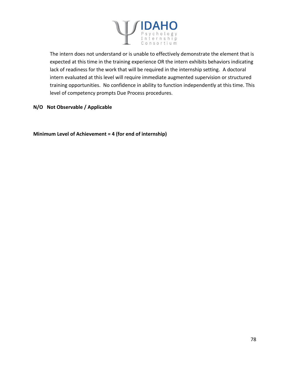

The intern does not understand or is unable to effectively demonstrate the element that is expected at this time in the training experience OR the intern exhibits behaviors indicating lack of readiness for the work that will be required in the internship setting. A doctoral intern evaluated at this level will require immediate augmented supervision or structured training opportunities. No confidence in ability to function independently at this time. This level of competency prompts Due Process procedures.

## **N/O Not Observable / Applicable**

**Minimum Level of Achievement = 4 (for end of internship)**